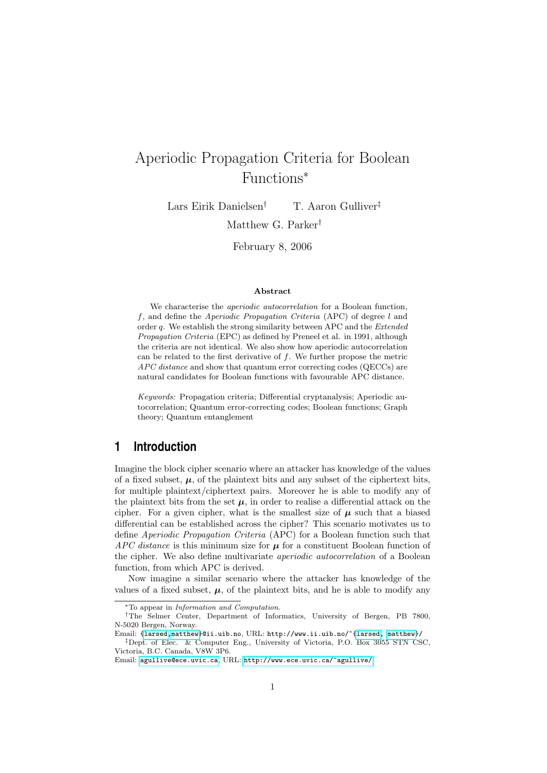# Aperiodic Propagation Criteria for Boolean Functions<sup>∗</sup>

Lars Eirik Danielsen† T. Aaron Gulliver‡

Matthew G. Parker†

February 8, 2006

#### Abstract

We characterise the *aperiodic autocorrelation* for a Boolean function, f, and define the Aperiodic Propagation Criteria (APC) of degree l and order q. We establish the strong similarity between APC and the Extended Propagation Criteria (EPC) as defined by Preneel et al. in 1991, although the criteria are not identical. We also show how aperiodic autocorrelation can be related to the first derivative of  $f$ . We further propose the metric APC distance and show that quantum error correcting codes (QECCs) are natural candidates for Boolean functions with favourable APC distance.

Keywords: Propagation criteria; Differential cryptanalysis; Aperiodic autocorrelation; Quantum error-correcting codes; Boolean functions; Graph theory; Quantum entanglement

### <span id="page-0-0"></span>**1 Introduction**

Imagine the block cipher scenario where an attacker has knowledge of the values of a fixed subset,  $\mu$ , of the plaintext bits and any subset of the ciphertext bits, for multiple plaintext/ciphertext pairs. Moreover he is able to modify any of the plaintext bits from the set  $\mu$ , in order to realise a differential attack on the cipher. For a given cipher, what is the smallest size of  $\mu$  such that a biased differential can be established across the cipher? This scenario motivates us to define Aperiodic Propagation Criteria (APC) for a Boolean function such that APC distance is this minimum size for  $\mu$  for a constituent Boolean function of the cipher. We also define multivariate aperiodic autocorrelation of a Boolean function, from which APC is derived.

Now imagine a similar scenario where the attacker has knowledge of the values of a fixed subset,  $\mu$ , of the plaintext bits, and he is able to modify any

<sup>∗</sup>To appear in Information and Computation.

<sup>†</sup>The Selmer Center, Department of Informatics, University of Bergen, PB 7800, N-5020 Bergen, Norway.

Email: [{larsed,](mailto:larsed@ii.uib.no)[matthew}](mailto:matthew@ii.uib.no)@ii.uib.no, URL: http://www.ii.uib.no/~[{larsed,](http://www.ii.uib.no/~larsed) [matthew}](http://www.ii.uib.no/~matthew)/

<sup>‡</sup>Dept. of Elec. & Computer Eng., University of Victoria, P.O. Box 3055 STN CSC, Victoria, B.C. Canada, V8W 3P6.

Email: [agullive@ece.uvic.ca](mailto:agullive@ece.uvic.ca), URL: <http://www.ece.uvic.ca/~agullive/>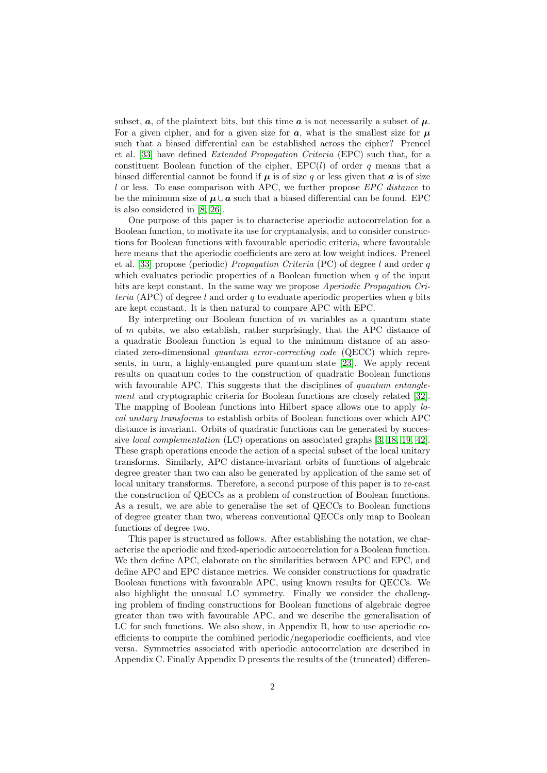subset,  $\boldsymbol{a}$ , of the plaintext bits, but this time  $\boldsymbol{a}$  is not necessarily a subset of  $\boldsymbol{\mu}$ . For a given cipher, and for a given size for  $a$ , what is the smallest size for  $\mu$ such that a biased differential can be established across the cipher? Preneel et al. [\[33\]](#page-29-0) have defined Extended Propagation Criteria (EPC) such that, for a constituent Boolean function of the cipher,  $EPC(l)$  of order q means that a biased differential cannot be found if  $\mu$  is of size q or less given that  $\alpha$  is of size l or less. To ease comparison with APC, we further propose  $EPC$  distance to be the minimum size of  $\mu \cup a$  such that a biased differential can be found. EPC is also considered in [\[8,](#page-28-0) [26\]](#page-29-1).

One purpose of this paper is to characterise aperiodic autocorrelation for a Boolean function, to motivate its use for cryptanalysis, and to consider constructions for Boolean functions with favourable aperiodic criteria, where favourable here means that the aperiodic coefficients are zero at low weight indices. Preneel et al. [\[33\]](#page-29-0) propose (periodic) *Propagation Criteria* (PC) of degree l and order q which evaluates periodic properties of a Boolean function when  $q$  of the input bits are kept constant. In the same way we propose Aperiodic Propagation Criteria (APC) of degree l and order q to evaluate aperiodic properties when q bits are kept constant. It is then natural to compare APC with EPC.

By interpreting our Boolean function of  $m$  variables as a quantum state of m qubits, we also establish, rather surprisingly, that the APC distance of a quadratic Boolean function is equal to the minimum distance of an associated zero-dimensional quantum error-correcting code (QECC) which represents, in turn, a highly-entangled pure quantum state [\[23\]](#page-29-2). We apply recent results on quantum codes to the construction of quadratic Boolean functions with favourable APC. This suggests that the disciplines of *quantum entangle*ment and cryptographic criteria for Boolean functions are closely related [\[32\]](#page-29-3). The mapping of Boolean functions into Hilbert space allows one to apply local unitary transforms to establish orbits of Boolean functions over which APC distance is invariant. Orbits of quadratic functions can be generated by successive *local complementation* (LC) operations on associated graphs  $[3, 18, 19, 42]$  $[3, 18, 19, 42]$  $[3, 18, 19, 42]$  $[3, 18, 19, 42]$ . These graph operations encode the action of a special subset of the local unitary transforms. Similarly, APC distance-invariant orbits of functions of algebraic degree greater than two can also be generated by application of the same set of local unitary transforms. Therefore, a second purpose of this paper is to re-cast the construction of QECCs as a problem of construction of Boolean functions. As a result, we are able to generalise the set of QECCs to Boolean functions of degree greater than two, whereas conventional QECCs only map to Boolean functions of degree two.

This paper is structured as follows. After establishing the notation, we characterise the aperiodic and fixed-aperiodic autocorrelation for a Boolean function. We then define APC, elaborate on the similarities between APC and EPC, and define APC and EPC distance metrics. We consider constructions for quadratic Boolean functions with favourable APC, using known results for QECCs. We also highlight the unusual LC symmetry. Finally we consider the challenging problem of finding constructions for Boolean functions of algebraic degree greater than two with favourable APC, and we describe the generalisation of LC for such functions. We also show, in Appendix B, how to use aperiodic coefficients to compute the combined periodic/negaperiodic coefficients, and vice versa. Symmetries associated with aperiodic autocorrelation are described in Appendix C. Finally Appendix D presents the results of the (truncated) differen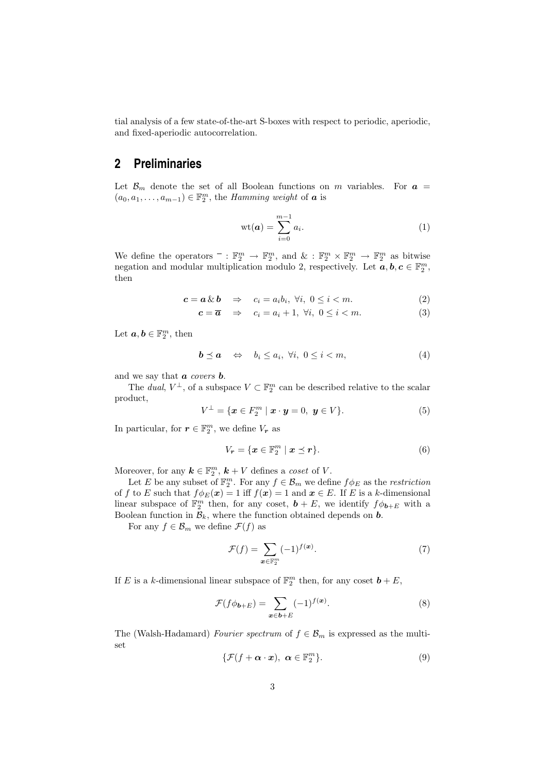tial analysis of a few state-of-the-art S-boxes with respect to periodic, aperiodic, and fixed-aperiodic autocorrelation.

### **2 Preliminaries**

Let  $\mathcal{B}_m$  denote the set of all Boolean functions on m variables. For  $\boldsymbol{a} =$  $(a_0, a_1, \ldots, a_{m-1}) \in \mathbb{F}_2^m$ , the *Hamming weight* of **a** is

$$
\text{wt}(\boldsymbol{a}) = \sum_{i=0}^{m-1} a_i.
$$
 (1)

We define the operators  $\overline{\mathbb{F}}_2^m \to \mathbb{F}_2^m$ , and  $\& \overline{\mathbb{F}}_2^m \times \mathbb{F}_2^m \to \mathbb{F}_2^m$  as bitwise negation and modular multiplication modulo 2, respectively. Let  $a, b, c \in \mathbb{F}_2^m$ , then

$$
\mathbf{c} = \mathbf{a} \& \mathbf{b} \quad \Rightarrow \quad c_i = a_i b_i, \ \forall i, \ 0 \leq i < m. \tag{2}
$$

$$
\mathbf{c} = \overline{\mathbf{a}} \quad \Rightarrow \quad c_i = a_i + 1, \ \forall i, \ 0 \le i < m. \tag{3}
$$

Let  $a, b \in \mathbb{F}_2^m$ , then

$$
\mathbf{b} \preceq \mathbf{a} \quad \Leftrightarrow \quad b_i \leq a_i, \ \forall i, \ 0 \leq i < m,\tag{4}
$$

and we say that  $\boldsymbol{a}$  covers  $\boldsymbol{b}$ .

The dual,  $V^{\perp}$ , of a subspace  $V \subset \mathbb{F}_2^m$  can be described relative to the scalar product,

$$
V^{\perp} = \{ \boldsymbol{x} \in F_2^m \mid \boldsymbol{x} \cdot \boldsymbol{y} = 0, \ \boldsymbol{y} \in V \}. \tag{5}
$$

In particular, for  $r \in \mathbb{F}_2^m$ , we define  $V_r$  as

$$
V_r = \{ \boldsymbol{x} \in \mathbb{F}_2^m \mid \boldsymbol{x} \preceq \boldsymbol{r} \}. \tag{6}
$$

Moreover, for any  $\mathbf{k} \in \mathbb{F}_2^m$ ,  $\mathbf{k} + V$  defines a coset of V.

Let E be any subset of  $\mathbb{F}_2^m$ . For any  $f \in \mathcal{B}_m$  we define  $f \phi_E$  as the *restriction* of f to E such that  $f\phi_E(\mathbf{x}) = 1$  iff  $f(\mathbf{x}) = 1$  and  $\mathbf{x} \in E$ . If E is a k-dimensional linear subspace of  $\mathbb{F}_2^m$  then, for any coset,  $\boldsymbol{b} + E$ , we identify  $f\phi_{\boldsymbol{b}+E}$  with a Boolean function in  $\mathcal{B}_k$ , where the function obtained depends on **b**.

For any  $f \in \mathcal{B}_m$  we define  $\mathcal{F}(f)$  as

$$
\mathcal{F}(f) = \sum_{\mathbf{x} \in \mathbb{F}_2^m} (-1)^{f(\mathbf{x})}.
$$
 (7)

If E is a k-dimensional linear subspace of  $\mathbb{F}_2^m$  then, for any coset  $\mathbf{b} + E$ ,

$$
\mathcal{F}(f\phi_{\mathbf{b}+E}) = \sum_{\mathbf{x}\in\mathbf{b}+E} (-1)^{f(\mathbf{x})}.
$$
 (8)

The (Walsh-Hadamard) Fourier spectrum of  $f \in \mathcal{B}_m$  is expressed as the multiset

$$
\{\mathcal{F}(f + \alpha \cdot x), \ \alpha \in \mathbb{F}_2^m\}.
$$
 (9)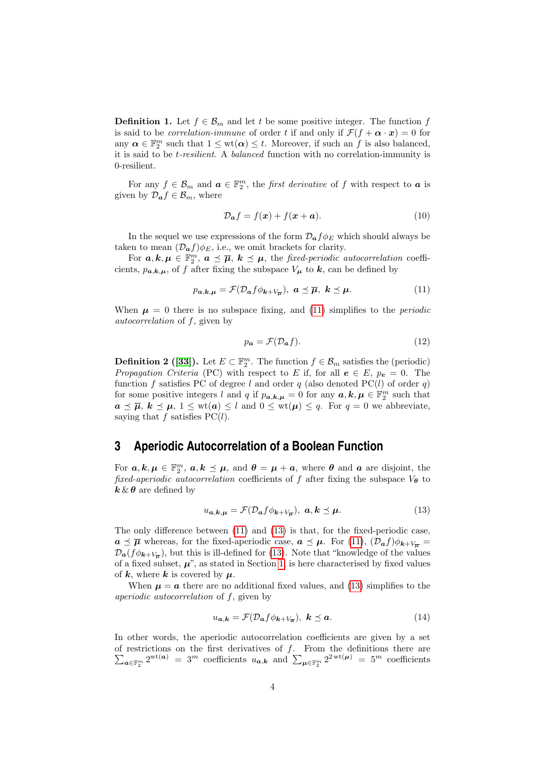**Definition 1.** Let  $f \in \mathcal{B}_m$  and let t be some positive integer. The function f is said to be *correlation-immune* of order t if and only if  $\mathcal{F}(f + \alpha \cdot x) = 0$  for any  $\alpha \in \mathbb{F}_2^m$  such that  $1 \leq \text{wt}(\alpha) \leq t$ . Moreover, if such an f is also balanced, it is said to be t-resilient. A balanced function with no correlation-immunity is 0-resilient.

For any  $f \in \mathcal{B}_m$  and  $\mathbf{a} \in \mathbb{F}_2^m$ , the *first derivative* of f with respect to  $\mathbf{a}$  is given by  $\mathcal{D}_{\boldsymbol{a}} f \in \mathcal{B}_m$ , where

$$
\mathcal{D}_a f = f(x) + f(x + a). \tag{10}
$$

In the sequel we use expressions of the form  $\mathcal{D}_{a} f \phi_{E}$  which should always be taken to mean  $(\mathcal{D}_{\boldsymbol{a}}f)\phi_E$ , i.e., we omit brackets for clarity.

For  $a, k, \mu \in \mathbb{F}_2^m$ ,  $a \preceq \overline{\mu}$ ,  $k \preceq \mu$ , the fixed-periodic autocorrelation coefficients,  $p_{a,k,\mu}$ , of f after fixing the subspace  $V_{\mu}$  to k, can be defined by

$$
p_{a,k,\mu} = \mathcal{F}(\mathcal{D}_a f \phi_{k+V_{\overline{\mu}}}), \ a \leq \overline{\mu}, \ k \leq \mu. \tag{11}
$$

When  $\mu = 0$  there is no subspace fixing, and [\(11\)](#page-3-0) simplifies to the *periodic* autocorrelation of f, given by

<span id="page-3-2"></span><span id="page-3-0"></span>
$$
p_a = \mathcal{F}(\mathcal{D}_a f). \tag{12}
$$

**Definition 2** ([\[33\]](#page-29-0)). Let  $E \subset \mathbb{F}_2^m$ . The function  $f \in \mathcal{B}_m$  satisfies the (periodic) *Propagation Criteria* (PC) with respect to E if, for all  $e \in E$ ,  $p_e = 0$ . The function f satisfies PC of degree l and order q (also denoted PC $(l)$  of order q) for some positive integers l and q if  $p_{a,k,\mu} = 0$  for any  $a, k, \mu \in \mathbb{F}_2^m$  such that  $a \preceq \overline{\mu}$ ,  $k \preceq \mu$ ,  $1 \leq \text{wt}(a) \leq l$  and  $0 \leq \text{wt}(\mu) \leq q$ . For  $q = 0$  we abbreviate, saying that f satisfies  $PC(l)$ .

### **3 Aperiodic Autocorrelation of a Boolean Function**

For  $a, k, \mu \in \mathbb{F}_2^m$ ,  $a, k \preceq \mu$ , and  $\theta = \mu + a$ , where  $\theta$  and  $a$  are disjoint, the fixed-aperiodic autocorrelation coefficients of f after fixing the subspace  $V_{\theta}$  to  $k \& \theta$  are defined by

<span id="page-3-1"></span>
$$
u_{a,k,\mu} = \mathcal{F}(\mathcal{D}_a f \phi_{k+V_{\overline{\mu}}}), \ a, k \le \mu. \tag{13}
$$

The only difference between [\(11\)](#page-3-0) and [\(13\)](#page-3-1) is that, for the fixed-periodic case,  $a \preceq \overline{\mu}$  whereas, for the fixed-aperiodic case,  $a \preceq \mu$ . For [\(11\)](#page-3-0),  $(\mathcal{D}_{a}f)\phi_{k+V_{\overline{\mu}}}$  $\mathcal{D}_{a}(f\phi_{\boldsymbol{k}+V_{\overline{\boldsymbol{\mu}}}})$ , but this is ill-defined for [\(13\)](#page-3-1). Note that "knowledge of the values of a fixed subset,  $\mu$ <sup>"</sup>, as stated in Section [1,](#page-0-0) is here characterised by fixed values of k, where k is covered by  $\mu$ .

When  $\mu = a$  there are no additional fixed values, and [\(13\)](#page-3-1) simplifies to the aperiodic autocorrelation of f, given by

<span id="page-3-3"></span>
$$
u_{\mathbf{a},\mathbf{k}} = \mathcal{F}(\mathcal{D}_{\mathbf{a}}f\phi_{\mathbf{k}+V_{\overline{\mathbf{a}}}}), \ \mathbf{k} \preceq \mathbf{a}.\tag{14}
$$

In other words, the aperiodic autocorrelation coefficients are given by a set of restrictions on the first derivatives of P f. From the definitions there are  $a \in \mathbb{F}_2^m$  2<sup>wt(a)</sup> = 3<sup>m</sup> coefficients  $u_{a,k}$  and  $\sum_{\mu \in \mathbb{F}_2^m} 2^{2 \text{ wt}(\mu)} = 5^m$  coefficients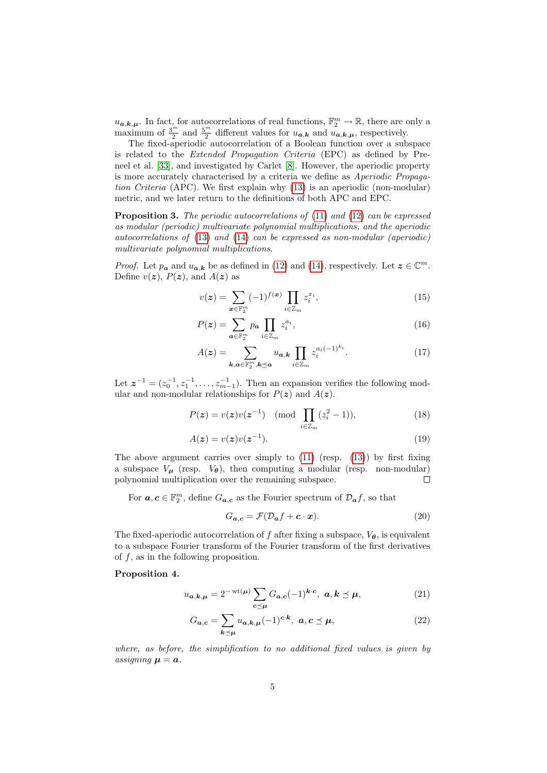$u_{a,k,\mu}$ . In fact, for autocorrelations of real functions,  $\mathbb{F}_2^m \to \mathbb{R}$ , there are only a maximum of  $\frac{3^m}{2}$  and  $\frac{5^m}{2}$  different values for  $u_{a,k}$  and  $u_{a,k,\mu}$ , respectively.

The fixed-aperiodic autocorrelation of a Boolean function over a subspace is related to the Extended Propagation Criteria (EPC) as defined by Preneel et al. [\[33\]](#page-29-0), and investigated by Carlet [\[8\]](#page-28-0). However, the aperiodic property is more accurately characterised by a criteria we define as Aperiodic Propagation Criteria (APC). We first explain why [\(13\)](#page-3-1) is an aperiodic (non-modular) metric, and we later return to the definitions of both APC and EPC.

<span id="page-4-2"></span>**Proposition 3.** The periodic autocorrelations of [\(11\)](#page-3-0) and [\(12\)](#page-3-2) can be expressed as modular (periodic) multivariate polynomial multiplications, and the aperiodic autocorrelations of [\(13\)](#page-3-1) and [\(14\)](#page-3-3) can be expressed as non-modular (aperiodic) multivariate polynomial multiplications.

*Proof.* Let  $p_a$  and  $u_{a,k}$  be as defined in [\(12\)](#page-3-2) and [\(14\)](#page-3-3), respectively. Let  $z \in \mathbb{C}^m$ . Define  $v(z)$ ,  $P(z)$ , and  $A(z)$  as

$$
v(\boldsymbol{z}) = \sum_{\boldsymbol{x} \in \mathbb{F}_2^m} (-1)^{f(\boldsymbol{x})} \prod_{i \in \mathbb{Z}_m} z_i^{x_i},\tag{15}
$$

$$
P(z) = \sum_{a \in \mathbb{F}_2^m} p_a \prod_{i \in \mathbb{Z}_m} z_i^{a_i},\tag{16}
$$

$$
A(z) = \sum_{\mathbf{k},\mathbf{a}\in\mathbb{F}_2^m,\mathbf{k}\preceq\mathbf{a}} u_{\mathbf{a},\mathbf{k}} \prod_{i\in\mathbb{Z}_m} z_i^{a_i(-1)^{k_i}}.
$$
 (17)

Let  $\mathbf{z}^{-1} = (z_0^{-1}, z_1^{-1}, \dots, z_{m-1}^{-1})$ . Then an expansion verifies the following modular and non-modular relationships for  $P(z)$  and  $A(z)$ .

$$
P(z) = v(z)v(z^{-1}) \pmod{\prod_{i \in \mathbb{Z}_m} (z_i^2 - 1)},
$$
\n(18)

$$
A(z) = v(z)v(z^{-1}).
$$
\n(19)

The above argument carries over simply to  $(11)$  (resp.  $(13)$ ) by first fixing a subspace  $V_{\mu}$  (resp.  $V_{\theta}$ ), then computing a modular (resp. non-modular) polynomial multiplication over the remaining subspace.  $\Box$ 

For  $a, c \in \mathbb{F}_2^m$ , define  $G_{a,c}$  as the Fourier spectrum of  $\mathcal{D}_a f$ , so that

<span id="page-4-1"></span>
$$
G_{a,c} = \mathcal{F}(\mathcal{D}_a f + c \cdot x). \tag{20}
$$

The fixed-aperiodic autocorrelation of f after fixing a subspace,  $V_{\theta}$ , is equivalent to a subspace Fourier transform of the Fourier transform of the first derivatives of f, as in the following proposition.

#### <span id="page-4-0"></span>Proposition 4.

$$
u_{\mathbf{a},\mathbf{k},\mathbf{\mu}} = 2^{-\text{wt}(\mathbf{\mu})} \sum_{\mathbf{c}\preceq\mathbf{\mu}} G_{\mathbf{a},\mathbf{c}}(-1)^{\mathbf{k}\cdot\mathbf{c}}, \ \mathbf{a},\mathbf{k}\preceq\mathbf{\mu},\tag{21}
$$

$$
G_{\mathbf{a},\mathbf{c}} = \sum_{\mathbf{k}\preceq\mu} u_{\mathbf{a},\mathbf{k},\mu} (-1)^{c \cdot \mathbf{k}}, \ \mathbf{a},\mathbf{c} \preceq \mu,
$$
 (22)

where, as before, the simplification to no additional fixed values is given by assigning  $\mathbf{u} = \mathbf{a}$ .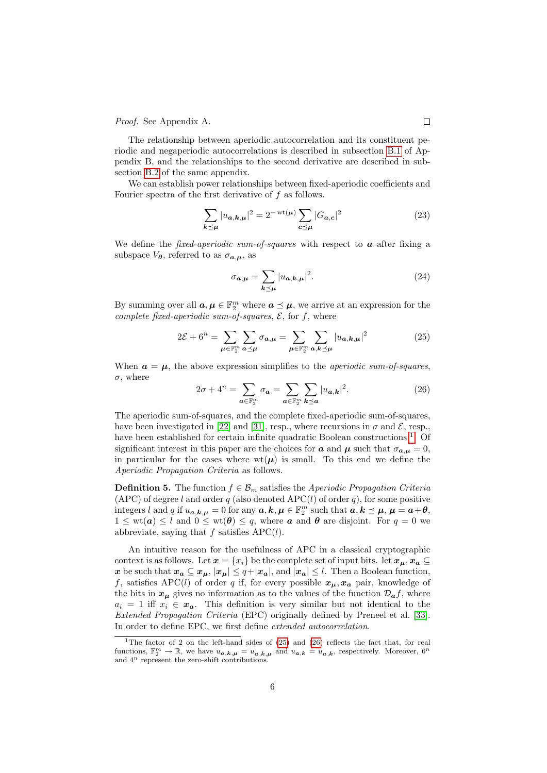Proof. See Appendix A.

The relationship between aperiodic autocorrelation and its constituent periodic and negaperiodic autocorrelations is described in subsection [B.1](#page-20-0) of Appendix B, and the relationships to the second derivative are described in subsection [B.2](#page-22-0) of the same appendix.

We can establish power relationships between fixed-aperiodic coefficients and Fourier spectra of the first derivative of  $f$  as follows.

<span id="page-5-3"></span>
$$
\sum_{k \le \mu} |u_{a,k,\mu}|^2 = 2^{-\text{wt}(\mu)} \sum_{c \le \mu} |G_{a,c}|^2 \tag{23}
$$

We define the *fixed-aperiodic sum-of-squares* with respect to  $\boldsymbol{a}$  after fixing a subspace  $V_{\theta}$ , referred to as  $\sigma_{a,\mu}$ , as

<span id="page-5-4"></span><span id="page-5-1"></span>
$$
\sigma_{\mathbf{a},\mathbf{\mu}} = \sum_{\mathbf{k}\preceq\mathbf{\mu}} |u_{\mathbf{a},\mathbf{k},\mathbf{\mu}}|^2.
$$
 (24)

By summing over all  $a, \mu \in \mathbb{F}_2^m$  where  $a \preceq \mu$ , we arrive at an expression for the complete fixed-aperiodic sum-of-squares,  $\mathcal{E}$ , for f, where

$$
2\mathcal{E} + 6^n = \sum_{\mu \in \mathbb{F}_2^m} \sum_{a \preceq \mu} \sigma_{a,\mu} = \sum_{\mu \in \mathbb{F}_2^m} \sum_{a,k \preceq \mu} |u_{a,k,\mu}|^2 \tag{25}
$$

<span id="page-5-2"></span>When  $a = \mu$ , the above expression simplifies to the *aperiodic sum-of-squares*,  $\sigma$ , where

$$
2\sigma + 4^n = \sum_{\mathbf{a} \in \mathbb{F}_2^m} \sigma_{\mathbf{a}} = \sum_{\mathbf{a} \in \mathbb{F}_2^m} \sum_{\mathbf{k} \preceq \mathbf{a}} |u_{\mathbf{a}, \mathbf{k}}|^2.
$$
 (26)

The aperiodic sum-of-squares, and the complete fixed-aperiodic sum-of-squares, have been investigated in [\[22\]](#page-29-4) and [\[31\]](#page-29-5), resp., where recursions in  $\sigma$  and  $\mathcal{E}$ , resp., have been established for certain infinite quadratic Boolean constructions <sup>[1](#page-5-0)</sup>. Of significant interest in this paper are the choices for **a** and  $\mu$  such that  $\sigma_{a,\mu} = 0$ , in particular for the cases where  $wt(\mu)$  is small. To this end we define the Aperiodic Propagation Criteria as follows.

**Definition 5.** The function  $f \in \mathcal{B}_m$  satisfies the Aperiodic Propagation Criteria (APC) of degree l and order q (also denoted APC(l) of order q), for some positive integers l and q if  $u_{a,k,\mu} = 0$  for any  $a, k, \mu \in \mathbb{F}_2^m$  such that  $a, k \preceq \mu, \mu = a + \theta$ ,  $1 \leq \text{wt}(a) \leq l$  and  $0 \leq \text{wt}(\theta) \leq q$ , where  $a$  and  $\theta$  are disjoint. For  $q = 0$  we abbreviate, saying that  $f$  satisfies  $APC(l)$ .

An intuitive reason for the usefulness of APC in a classical cryptographic context is as follows. Let  $x = \{x_i\}$  be the complete set of input bits. let  $x_{\mu}, x_{\alpha} \subseteq$ x be such that  $x_a \subseteq x_\mu$ ,  $|x_\mu| \leq q+|x_a|$ , and  $|x_a| \leq l$ . Then a Boolean function, f, satisfies APC(l) of order q if, for every possible  $x_{\mu}, x_{a}$  pair, knowledge of the bits in  $x_{\mu}$  gives no information as to the values of the function  $\mathcal{D}_{a}f$ , where  $a_i = 1$  iff  $x_i \in x_a$ . This definition is very similar but not identical to the Extended Propagation Criteria (EPC) originally defined by Preneel et al. [\[33\]](#page-29-0). In order to define EPC, we first define *extended autocorrelation*.

<span id="page-5-0"></span><sup>&</sup>lt;sup>1</sup>The factor of 2 on the left-hand sides of  $(25)$  and  $(26)$  reflects the fact that, for real functions,  $\mathbb{F}_2^m \to \mathbb{R}$ , we have  $u_{a,k,\mu} = u_{a,\bar{k},\mu}$  and  $u_{a,k} = u_{a,\bar{k}}$ , respectively. Moreover,  $6^n$ and  $4^n$  represent the zero-shift contributions.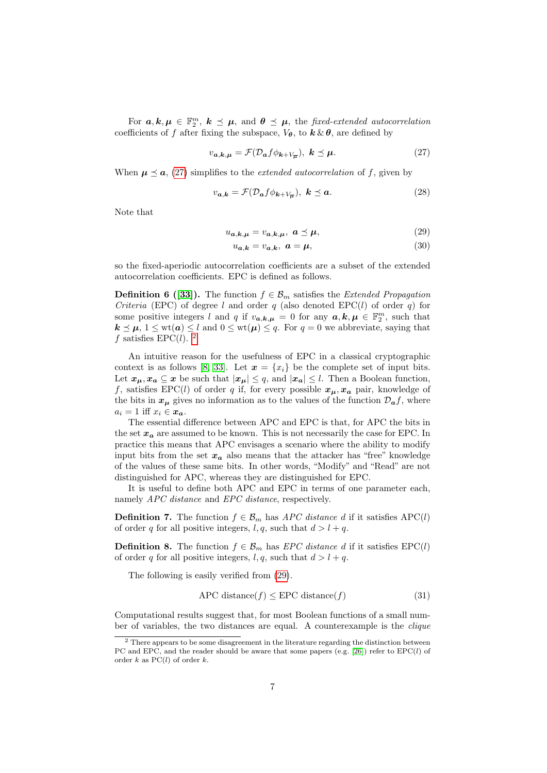For  $a, k, \mu \in \mathbb{F}_2^m$ ,  $k \preceq \mu$ , and  $\theta \preceq \mu$ , the fixed-extended autocorrelation coefficients of f after fixing the subspace,  $V_{\theta}$ , to  $\mathbf{k} \& \theta$ , are defined by

<span id="page-6-0"></span>
$$
v_{a,k,\mu} = \mathcal{F}(\mathcal{D}_a f \phi_{k+V_{\overline{\mu}}}), \ k \le \mu. \tag{27}
$$

When  $\mu \preceq a$ , [\(27\)](#page-6-0) simplifies to the *extended autocorrelation* of f, given by

$$
v_{a,k} = \mathcal{F}(\mathcal{D}_a f \phi_{k+V_{\overline{\mu}}}), \ k \le a. \tag{28}
$$

Note that

$$
u_{a,k,\mu} = v_{a,k,\mu}, \ a \preceq \mu,\tag{29}
$$

<span id="page-6-2"></span>
$$
u_{\mathbf{a},\mathbf{k}} = v_{\mathbf{a},\mathbf{k}}, \ \mathbf{a} = \mathbf{\mu},\tag{30}
$$

so the fixed-aperiodic autocorrelation coefficients are a subset of the extended autocorrelation coefficients. EPC is defined as follows.

<span id="page-6-4"></span>**Definition 6 ([\[33\]](#page-29-0)).** The function  $f \in \mathcal{B}_m$  satisfies the *Extended Propagation* Criteria (EPC) of degree l and order q (also denoted EPC(l) of order q) for some positive integers l and q if  $v_{a,k,\mu} = 0$  for any  $a, k, \mu \in \mathbb{F}_2^m$ , such that  $k \leq \mu$ ,  $1 \leq \text{wt}(a) \leq l$  and  $0 \leq \text{wt}(\mu) \leq q$ . For  $q = 0$  we abbreviate, saying that  $f$  satisfies EPC(l). <sup>[2](#page-6-1)</sup>

An intuitive reason for the usefulness of EPC in a classical cryptographic context is as follows [\[8,](#page-28-0) [33\]](#page-29-0). Let  $\mathbf{x} = \{x_i\}$  be the complete set of input bits. Let  $x_{\mu}, x_{a} \subseteq x$  be such that  $|x_{\mu}| \leq q$ , and  $|x_{a}| \leq l$ . Then a Boolean function, f, satisfies EPC(l) of order q if, for every possible  $x_{\mu}, x_{a}$  pair, knowledge of the bits in  $x_{\mu}$  gives no information as to the values of the function  $\mathcal{D}_{a}f$ , where  $a_i = 1$  iff  $x_i \in \mathbf{x}_a$ .

The essential difference between APC and EPC is that, for APC the bits in the set  $x_a$  are assumed to be known. This is not necessarily the case for EPC. In practice this means that APC envisages a scenario where the ability to modify input bits from the set  $x_a$  also means that the attacker has "free" knowledge of the values of these same bits. In other words, "Modify" and "Read" are not distinguished for APC, whereas they are distinguished for EPC.

It is useful to define both APC and EPC in terms of one parameter each, namely *APC* distance and *EPC* distance, respectively.

<span id="page-6-5"></span>**Definition 7.** The function  $f \in \mathcal{B}_m$  has APC distance d if it satisfies APC(l) of order q for all positive integers, l, q, such that  $d > l + q$ .

**Definition 8.** The function  $f \in \mathcal{B}_m$  has *EPC distance d* if it satisfies *EPC(l)* of order q for all positive integers, l, q, such that  $d > l + q$ .

The following is easily verified from [\(29\)](#page-6-2).

<span id="page-6-3"></span>
$$
APC distance(f) \le EPC distance(f)
$$
\n(31)

Computational results suggest that, for most Boolean functions of a small number of variables, the two distances are equal. A counterexample is the clique

<span id="page-6-1"></span><sup>2</sup> There appears to be some disagreement in the literature regarding the distinction between PC and EPC, and the reader should be aware that some papers (e.g. [\[26\]](#page-29-1)) refer to  $EPC(l)$  of order k as  $PC(l)$  of order k.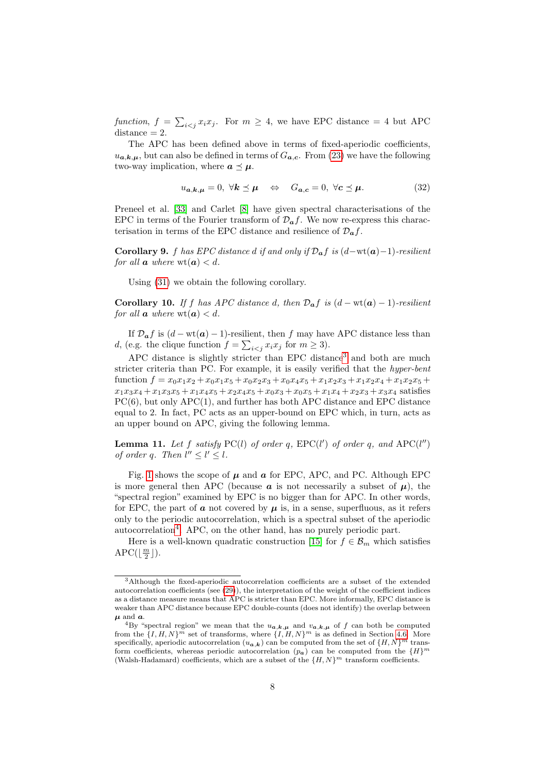function,  $f = \sum_{i < j} x_i x_j$ . For  $m \geq 4$ , we have EPC distance = 4 but APC  $distance = 2$ .

The APC has been defined above in terms of fixed-aperiodic coefficients,  $u_{a,k,\mu}$ , but can also be defined in terms of  $G_{a,c}$ . From [\(23\)](#page-5-3) we have the following two-way implication, where  $a \preceq \mu$ .

<span id="page-7-4"></span>
$$
u_{a,k,\mu} = 0, \ \forall k \le \mu \quad \Leftrightarrow \quad G_{a,c} = 0, \ \forall c \le \mu. \tag{32}
$$

Preneel et al. [\[33\]](#page-29-0) and Carlet [\[8\]](#page-28-0) have given spectral characterisations of the EPC in terms of the Fourier transform of  $\mathcal{D}_{a}f$ . We now re-express this characterisation in terms of the EPC distance and resilience of  $\mathcal{D}_{a}f$ .

Corollary 9. f has EPC distance d if and only if  $\mathcal{D}_{\boldsymbol{a}} f$  is  $(d$ -wt $(\boldsymbol{a})-1)$ -resilient for all **a** where  $wt(a) < d$ .

Using [\(31\)](#page-6-3) we obtain the following corollary.

Corollary 10. If f has APC distance d, then  $\mathcal{D}_{\boldsymbol{a}} f$  is  $(d - wt(\boldsymbol{a}) - 1)$ -resilient for all **a** where  $wt(a) < d$ .

If  $\mathcal{D}_{\boldsymbol{a}} f$  is  $(d - wt(\boldsymbol{a}) - 1)$ -resilient, then f may have APC distance less than d, (e.g. the clique function  $f = \sum_{i < j} x_i x_j$  for  $m \geq 3$ ).

APC distance is slightly stricter than EPC distance<sup>[3](#page-7-0)</sup> and both are much stricter criteria than PC. For example, it is easily verified that the hyper-bent function  $f = x_0x_1x_2 + x_0x_1x_5 + x_0x_2x_3 + x_0x_4x_5 + x_1x_2x_3 + x_1x_2x_4 + x_1x_2x_5 +$  $x_1x_3x_4 + x_1x_3x_5 + x_1x_4x_5 + x_2x_4x_5 + x_0x_3 + x_0x_5 + x_1x_4 + x_2x_3 + x_3x_4$  satisfies  $PC(6)$ , but only  $APC(1)$ , and further has both APC distance and EPC distance equal to 2. In fact, PC acts as an upper-bound on EPC which, in turn, acts as an upper bound on APC, giving the following lemma.

<span id="page-7-3"></span>**Lemma 11.** Let f satisfy PC(l) of order q,  $EPC(l')$  of order q, and  $APC(l'')$ of order q. Then  $l'' \leq l' \leq l$ .

Fig. [1](#page-8-0) shows the scope of  $\mu$  and  $\alpha$  for EPC, APC, and PC. Although EPC is more general then APC (because  $\boldsymbol{a}$  is not necessarily a subset of  $\boldsymbol{\mu}$ ), the "spectral region" examined by EPC is no bigger than for APC. In other words, for EPC, the part of **a** not covered by **u** is, in a sense, superfluous, as it refers only to the periodic autocorrelation, which is a spectral subset of the aperiodic autocorrelation<sup>[4](#page-7-1)</sup>. APC, on the other hand, has no purely periodic part.

Here is a well-known quadratic construction [\[15\]](#page-28-4) for  $f \in \mathcal{B}_m$  which satisfies  $\mathrm{APC}(\lfloor \frac{m}{2} \rfloor).$ 

<span id="page-7-2"></span><span id="page-7-0"></span><sup>3</sup>Although the fixed-aperiodic autocorrelation coefficients are a subset of the extended autocorrelation coefficients (see [\(29\)](#page-6-2)), the interpretation of the weight of the coefficient indices as a distance measure means that APC is stricter than EPC. More informally, EPC distance is weaker than APC distance because EPC double-counts (does not identify) the overlap between  $\mu$  and  $a$ .

<span id="page-7-1"></span><sup>&</sup>lt;sup>4</sup>By "spectral region" we mean that the  $u_{a,k,\mu}$  and  $v_{a,k,\mu}$  of f can both be computed from the  $\{I, H, N\}^m$  set of transforms, where  $\{I, H, N\}^m$  is as defined in Section [4.6.](#page-16-0) More specifically, aperiodic autocorrelation  $(u_{a,k})$  can be computed from the set of  $\{H, N\}^m$  transform coefficients, whereas periodic autocorrelation  $(p_a)$  can be computed from the  $\{H\}^m$ (Walsh-Hadamard) coefficients, which are a subset of the  $\{H, N\}^m$  transform coefficients.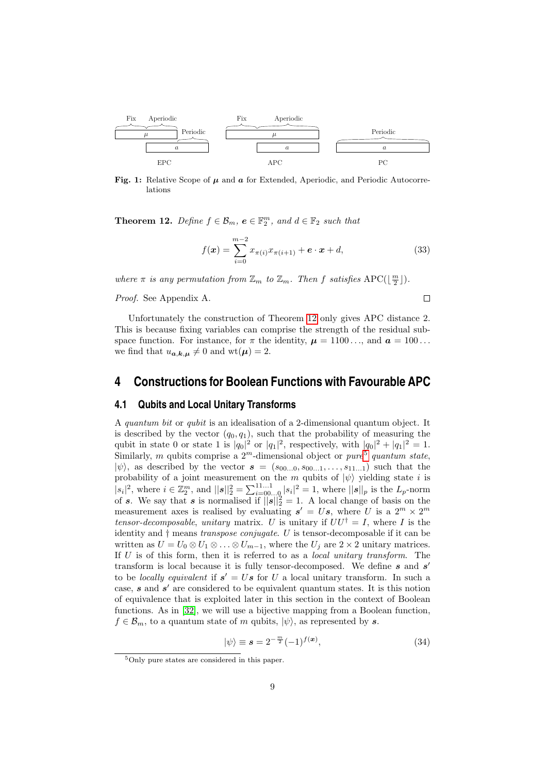

<span id="page-8-0"></span>Fig. 1: Relative Scope of  $\mu$  and  $\alpha$  for Extended, Aperiodic, and Periodic Autocorrelations

**Theorem 12.** Define  $f \in \mathcal{B}_m$ ,  $e \in \mathbb{F}_2^m$ , and  $d \in \mathbb{F}_2$  such that

$$
f(\mathbf{x}) = \sum_{i=0}^{m-2} x_{\pi(i)} x_{\pi(i+1)} + \mathbf{e} \cdot \mathbf{x} + d,
$$
 (33)

where  $\pi$  is any permutation from  $\mathbb{Z}_m$  to  $\mathbb{Z}_m$ . Then f satisfies  $\mathrm{APC}(\lfloor \frac{m}{2} \rfloor)$ .

Proof. See Appendix A.

 $\Box$ 

Unfortunately the construction of Theorem [12](#page-7-2) only gives APC distance 2. This is because fixing variables can comprise the strength of the residual subspace function. For instance, for  $\pi$  the identity,  $\mu = 1100...$ , and  $\alpha = 100...$ we find that  $u_{a,k,\mu} \neq 0$  and  $\text{wt}(\mu) = 2$ .

### <span id="page-8-3"></span>**4 Constructions for Boolean Functions with Favourable APC**

#### **4.1 Qubits and Local Unitary Transforms**

A quantum bit or qubit is an idealisation of a 2-dimensional quantum object. It is described by the vector  $(q_0, q_1)$ , such that the probability of measuring the qubit in state 0 or state 1 is  $|q_0|^2$  or  $|q_1|^2$ , respectively, with  $|q_0|^2 + |q_1|^2 = 1$ . Similarly, m qubits comprise a  $2^m$ -dimensional object or pure<sup>[5](#page-8-1)</sup> quantum state,  $|\psi\rangle$ , as described by the vector  $s = (s_{00...0}, s_{00...1}, \ldots, s_{11...1})$  such that the probability of a joint measurement on the m qubits of  $|\psi\rangle$  yielding state i is  $|s_i|^2$ , where  $i \in \mathbb{Z}_2^m$ , and  $||\mathbf{s}||_2^2 = \sum_{i=0,..,0}^{11...1} |s_i|^2 = 1$ , where  $||\mathbf{s}||_p$  is the  $L_p$ -norm of s. We say that s is normalised if  $\|\mathbf{s}\|_2^2 = 1$ . A local change of basis on the measurement axes is realised by evaluating  $s' = Us$ , where U is a  $2^m \times 2^m$ tensor-decomposable, unitary matrix. U is unitary if  $UU^{\dagger} = I$ , where I is the identity and † means transpose conjugate. U is tensor-decomposable if it can be written as  $U = U_0 \otimes U_1 \otimes \ldots \otimes U_{m-1}$ , where the  $U_i$  are  $2 \times 2$  unitary matrices. If U is of this form, then it is referred to as a local unitary transform. The transform is local because it is fully tensor-decomposed. We define  $s$  and  $s'$ to be *locally equivalent* if  $s' = Us$  for U a local unitary transform. In such a case,  $s$  and  $s'$  are considered to be equivalent quantum states. It is this notion of equivalence that is exploited later in this section in the context of Boolean functions. As in [\[32\]](#page-29-3), we will use a bijective mapping from a Boolean function,  $f \in \mathcal{B}_m$ , to a quantum state of m qubits,  $|\psi\rangle$ , as represented by s.

<span id="page-8-2"></span>
$$
|\psi\rangle \equiv s = 2^{-\frac{m}{2}} (-1)^{f(\boldsymbol{x})},\tag{34}
$$

<span id="page-8-1"></span><sup>5</sup>Only pure states are considered in this paper.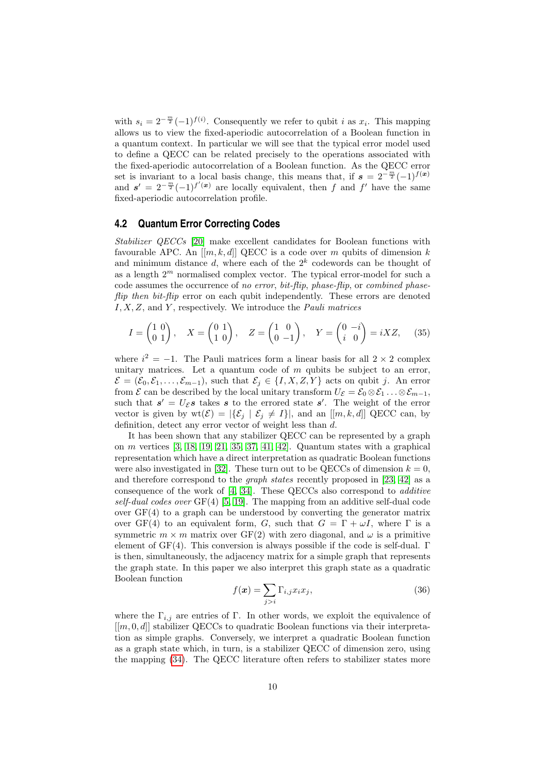with  $s_i = 2^{-\frac{m}{2}}(-1)^{f(i)}$ . Consequently we refer to qubit i as  $x_i$ . This mapping allows us to view the fixed-aperiodic autocorrelation of a Boolean function in a quantum context. In particular we will see that the typical error model used to define a QECC can be related precisely to the operations associated with the fixed-aperiodic autocorrelation of a Boolean function. As the QECC error set is invariant to a local basis change, this means that, if  $s = 2^{-\frac{m}{2}}(-1)^{f(x)}$ and  $s' = 2^{-\frac{m}{2}} (-1)^{f'(x)}$  are locally equivalent, then f and f' have the same fixed-aperiodic autocorrelation profile.

#### **4.2 Quantum Error Correcting Codes**

Stabilizer QECCs [\[20\]](#page-28-5) make excellent candidates for Boolean functions with favourable APC. An  $[[m, k, d]]$  QECC is a code over m qubits of dimension k and minimum distance  $d$ , where each of the  $2<sup>k</sup>$  codewords can be thought of as a length  $2^m$  normalised complex vector. The typical error-model for such a code assumes the occurrence of no error, bit-flip, phase-flip, or combined phaseflip then bit-flip error on each qubit independently. These errors are denoted  $I, X, Z$ , and Y, respectively. We introduce the *Pauli matrices* 

$$
I = \begin{pmatrix} 1 & 0 \\ 0 & 1 \end{pmatrix}, \quad X = \begin{pmatrix} 0 & 1 \\ 1 & 0 \end{pmatrix}, \quad Z = \begin{pmatrix} 1 & 0 \\ 0 & -1 \end{pmatrix}, \quad Y = \begin{pmatrix} 0 & -i \\ i & 0 \end{pmatrix} = iXZ, \tag{35}
$$

where  $i^2 = -1$ . The Pauli matrices form a linear basis for all  $2 \times 2$  complex unitary matrices. Let a quantum code of  $m$  qubits be subject to an error,  $\mathcal{E} = (\mathcal{E}_0, \mathcal{E}_1, \ldots, \mathcal{E}_{m-1}),$  such that  $\mathcal{E}_j \in \{I, X, Z, Y\}$  acts on qubit j. An error from  $\mathcal E$  can be described by the local unitary transform  $U_{\mathcal E} = \mathcal E_0 \otimes \mathcal E_1 \ldots \otimes \mathcal E_{m-1}$ , such that  $s' = U_{\mathcal{E}} s$  takes s to the errored state s'. The weight of the error vector is given by  $\text{wt}(\mathcal{E}) = |\{\mathcal{E}_i \mid \mathcal{E}_i \neq I\}|$ , and an  $[[m, k, d]]$  QECC can, by definition, detect any error vector of weight less than d.

It has been shown that any stabilizer QECC can be represented by a graph on  $m$  vertices  $\left[3, 18, 19, 21, 35, 37, 41, 42\right]$  $\left[3, 18, 19, 21, 35, 37, 41, 42\right]$  $\left[3, 18, 19, 21, 35, 37, 41, 42\right]$  $\left[3, 18, 19, 21, 35, 37, 41, 42\right]$  $\left[3, 18, 19, 21, 35, 37, 41, 42\right]$  $\left[3, 18, 19, 21, 35, 37, 41, 42\right]$  $\left[3, 18, 19, 21, 35, 37, 41, 42\right]$  $\left[3, 18, 19, 21, 35, 37, 41, 42\right]$ . Quantum states with a graphical representation which have a direct interpretation as quadratic Boolean functions were also investigated in [\[32\]](#page-29-3). These turn out to be QECCs of dimension  $k = 0$ . and therefore correspond to the *graph states* recently proposed in [\[23,](#page-29-2) [42\]](#page-30-0) as a consequence of the work of  $[4, 34]$  $[4, 34]$ . These QECCs also correspond to *additive* self-dual codes over  $GF(4)$  [\[5,](#page-28-7) [19\]](#page-28-3). The mapping from an additive self-dual code over  $GF(4)$  to a graph can be understood by converting the generator matrix over GF(4) to an equivalent form, G, such that  $G = \Gamma + \omega I$ , where  $\Gamma$  is a symmetric  $m \times m$  matrix over GF(2) with zero diagonal, and  $\omega$  is a primitive element of GF(4). This conversion is always possible if the code is self-dual. Γ is then, simultaneously, the adjacency matrix for a simple graph that represents the graph state. In this paper we also interpret this graph state as a quadratic Boolean function

<span id="page-9-0"></span>
$$
f(\boldsymbol{x}) = \sum_{j>i} \Gamma_{i,j} x_i x_j,
$$
\n(36)

where the  $\Gamma_{i,j}$  are entries of Γ. In other words, we exploit the equivalence of  $[[m, 0, d]]$  stabilizer QECCs to quadratic Boolean functions via their interpretation as simple graphs. Conversely, we interpret a quadratic Boolean function as a graph state which, in turn, is a stabilizer QECC of dimension zero, using the mapping [\(34\)](#page-8-2). The QECC literature often refers to stabilizer states more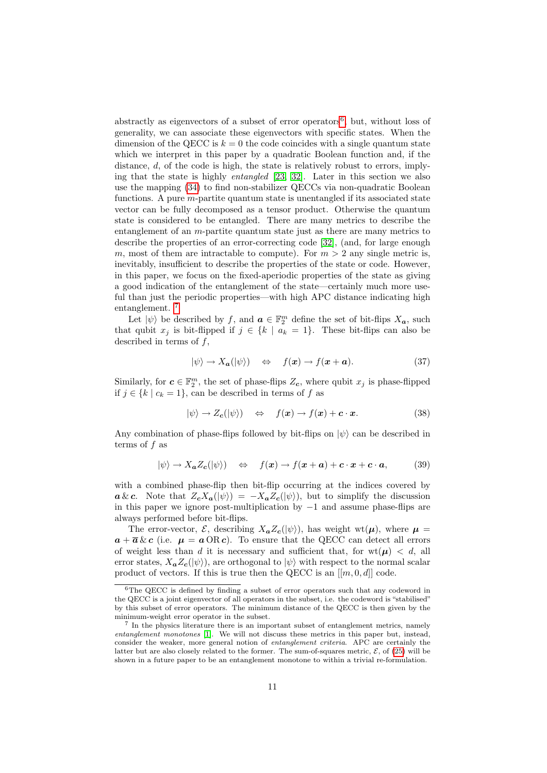abstractly as eigenvectors of a subset of error operators<sup>[6](#page-10-0)</sup>, but, without loss of generality, we can associate these eigenvectors with specific states. When the dimension of the QECC is  $k = 0$  the code coincides with a single quantum state which we interpret in this paper by a quadratic Boolean function and, if the distance, d, of the code is high, the state is relatively robust to errors, implying that the state is highly entangled [\[23,](#page-29-2) [32\]](#page-29-3). Later in this section we also use the mapping [\(34\)](#page-8-2) to find non-stabilizer QECCs via non-quadratic Boolean functions. A pure  $m$ -partite quantum state is unentangled if its associated state vector can be fully decomposed as a tensor product. Otherwise the quantum state is considered to be entangled. There are many metrics to describe the entanglement of an m-partite quantum state just as there are many metrics to describe the properties of an error-correcting code [\[32\]](#page-29-3), (and, for large enough m, most of them are intractable to compute). For  $m > 2$  any single metric is, inevitably, insufficient to describe the properties of the state or code. However, in this paper, we focus on the fixed-aperiodic properties of the state as giving a good indication of the entanglement of the state—certainly much more useful than just the periodic properties—with high APC distance indicating high entanglement. [7](#page-10-1)

Let  $|\psi\rangle$  be described by f, and  $\mathbf{a} \in \mathbb{F}_2^m$  define the set of bit-flips  $X_{\mathbf{a}}$ , such that qubit  $x_j$  is bit-flipped if  $j \in \{k \mid a_k = 1\}$ . These bit-flips can also be described in terms of  $f$ ,

$$
|\psi\rangle \to X_{\mathbf{a}}(|\psi\rangle) \quad \Leftrightarrow \quad f(\mathbf{x}) \to f(\mathbf{x} + \mathbf{a}). \tag{37}
$$

Similarly, for  $c \in \mathbb{F}_2^m$ , the set of phase-flips  $Z_c$ , where qubit  $x_j$  is phase-flipped if  $j \in \{k \mid c_k = 1\}$ , can be described in terms of f as

$$
|\psi\rangle \to Z_{\mathbf{c}}(|\psi\rangle) \quad \Leftrightarrow \quad f(\mathbf{x}) \to f(\mathbf{x}) + \mathbf{c} \cdot \mathbf{x}.\tag{38}
$$

Any combination of phase-flips followed by bit-flips on  $|\psi\rangle$  can be described in terms of  $f$  as

$$
|\psi\rangle \to X_{\mathbf{a}}Z_{\mathbf{c}}(|\psi\rangle) \quad \Leftrightarrow \quad f(\mathbf{x}) \to f(\mathbf{x} + \mathbf{a}) + \mathbf{c} \cdot \mathbf{x} + \mathbf{c} \cdot \mathbf{a}, \tag{39}
$$

with a combined phase-flip then bit-flip occurring at the indices covered by  $a \& c$ . Note that  $Z_c X_a(|\psi\rangle) = -X_a Z_c(|\psi\rangle)$ , but to simplify the discussion in this paper we ignore post-multiplication by  $-1$  and assume phase-flips are always performed before bit-flips.

The error-vector,  $\mathcal{E}$ , describing  $X_{a}Z_{c}(|\psi\rangle)$ , has weight wt $(\mu)$ , where  $\mu =$  $a + \overline{a} \& c$  (i.e.  $\mu = a \text{ OR } c$ ). To ensure that the QECC can detect all errors of weight less than d it is necessary and sufficient that, for  $wt(\mu) < d$ , all error states,  $X_{a}Z_{c}(|\psi\rangle)$ , are orthogonal to  $|\psi\rangle$  with respect to the normal scalar product of vectors. If this is true then the QECC is an  $[[m, 0, d]]$  code.

<span id="page-10-2"></span><span id="page-10-0"></span> ${}^{6}$ The QECC is defined by finding a subset of error operators such that any codeword in the QECC is a joint eigenvector of all operators in the subset, i.e. the codeword is "stabilised" by this subset of error operators. The minimum distance of the QECC is then given by the minimum-weight error operator in the subset.

<span id="page-10-1"></span><sup>&</sup>lt;sup>7</sup> In the physics literature there is an important subset of entanglement metrics, namely entanglement monotones [\[1\]](#page-28-8). We will not discuss these metrics in this paper but, instead, consider the weaker, more general notion of entanglement criteria. APC are certainly the latter but are also closely related to the former. The sum-of-squares metric,  $\mathcal{E}$ , of [\(25\)](#page-5-1) will be shown in a future paper to be an entanglement monotone to within a trivial re-formulation.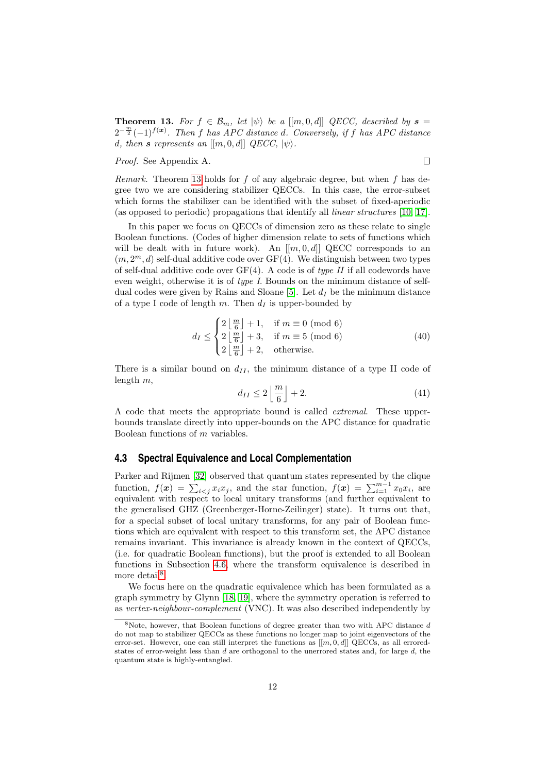**Theorem 13.** For  $f \in \mathcal{B}_m$ , let  $|\psi\rangle$  be a  $[[m, 0, d]]$  QECC, described by  $s =$  $2^{-\frac{m}{2}}(-1)^{f(x)}$ . Then f has APC distance d. Conversely, if f has APC distance d, then s represents an  $[[m, 0, d]]$  QECC,  $|\psi\rangle$ .

Proof. See Appendix A.

 $\Box$ 

Remark. Theorem [13](#page-10-2) holds for  $f$  of any algebraic degree, but when  $f$  has degree two we are considering stabilizer QECCs. In this case, the error-subset which forms the stabilizer can be identified with the subset of fixed-aperiodic (as opposed to periodic) propagations that identify all linear structures [\[10,](#page-28-9) [17\]](#page-28-10).

In this paper we focus on QECCs of dimension zero as these relate to single Boolean functions. (Codes of higher dimension relate to sets of functions which will be dealt with in future work). An  $[[m, 0, d]]$  QECC corresponds to an  $(m, 2<sup>m</sup>, d)$  self-dual additive code over GF(4). We distinguish between two types of self-dual additive code over  $GF(4)$ . A code is of type II if all codewords have even weight, otherwise it is of type I. Bounds on the minimum distance of self-dual codes were given by Rains and Sloane [\[5\]](#page-28-7). Let  $d_I$  be the minimum distance of a type I code of length m. Then  $d_I$  is upper-bounded by

$$
d_I \leq \begin{cases} 2\left\lfloor \frac{m}{6} \right\rfloor + 1, & \text{if } m \equiv 0 \pmod{6} \\ 2\left\lfloor \frac{m}{6} \right\rfloor + 3, & \text{if } m \equiv 5 \pmod{6} \\ 2\left\lfloor \frac{m}{6} \right\rfloor + 2, & \text{otherwise.} \end{cases}
$$
(40)

There is a similar bound on  $d_{II}$ , the minimum distance of a type II code of length m,

$$
d_{II} \le 2\left\lfloor \frac{m}{6} \right\rfloor + 2. \tag{41}
$$

A code that meets the appropriate bound is called extremal. These upperbounds translate directly into upper-bounds on the APC distance for quadratic Boolean functions of m variables.

#### <span id="page-11-1"></span>**4.3 Spectral Equivalence and Local Complementation**

Parker and Rijmen [\[32\]](#page-29-3) observed that quantum states represented by the clique function,  $f(x) = \sum_{i < j} x_i x_j$ , and the star function,  $f(x) = \sum_{i=1}^{m-1} x_0 x_i$ , are equivalent with respect to local unitary transforms (and further equivalent to the generalised GHZ (Greenberger-Horne-Zeilinger) state). It turns out that, for a special subset of local unitary transforms, for any pair of Boolean functions which are equivalent with respect to this transform set, the APC distance remains invariant. This invariance is already known in the context of QECCs, (i.e. for quadratic Boolean functions), but the proof is extended to all Boolean functions in Subsection [4.6,](#page-16-0) where the transform equivalence is described in more detail<sup>[8](#page-11-0)</sup>.

We focus here on the quadratic equivalence which has been formulated as a graph symmetry by Glynn [\[18,](#page-28-2) [19\]](#page-28-3), where the symmetry operation is referred to as vertex-neighbour-complement (VNC). It was also described independently by

<span id="page-11-0"></span> $8N$ ote, however, that Boolean functions of degree greater than two with APC distance  $d$ do not map to stabilizer QECCs as these functions no longer map to joint eigenvectors of the error-set. However, one can still interpret the functions as  $[[m, 0, d]]$  QECCs, as all erroredstates of error-weight less than  $d$  are orthogonal to the unerrored states and, for large  $d$ , the quantum state is highly-entangled.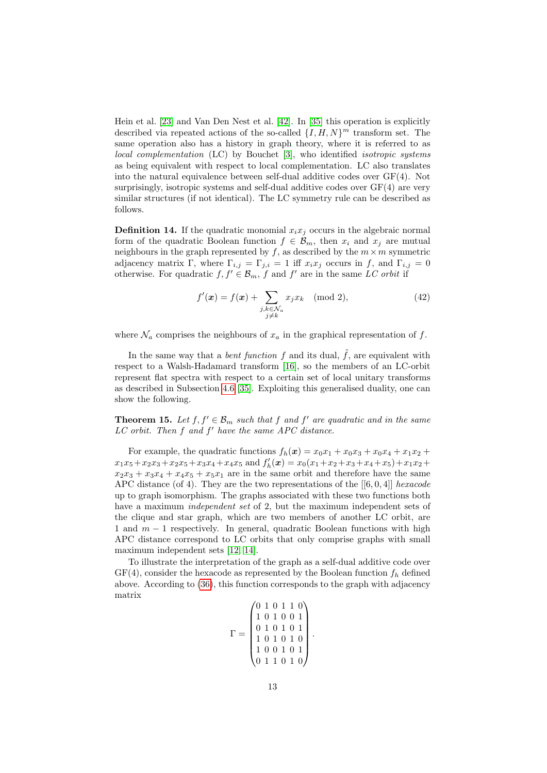Hein et al. [\[23\]](#page-29-2) and Van Den Nest et al. [\[42\]](#page-30-0). In [\[35\]](#page-29-7) this operation is explicitly described via repeated actions of the so-called  $\{I, H, N\}^m$  transform set. The same operation also has a history in graph theory, where it is referred to as local complementation (LC) by Bouchet [\[3\]](#page-28-1), who identified *isotropic systems* as being equivalent with respect to local complementation. LC also translates into the natural equivalence between self-dual additive codes over GF(4). Not surprisingly, isotropic systems and self-dual additive codes over  $GF(4)$  are very similar structures (if not identical). The LC symmetry rule can be described as follows.

**Definition 14.** If the quadratic monomial  $x_i x_j$  occurs in the algebraic normal form of the quadratic Boolean function  $f \in \mathcal{B}_m$ , then  $x_i$  and  $x_j$  are mutual neighbours in the graph represented by f, as described by the  $m \times m$  symmetric adjacency matrix Γ, where  $\Gamma_{i,j} = \Gamma_{j,i} = 1$  iff  $x_i x_j$  occurs in f, and  $\Gamma_{i,j} = 0$ otherwise. For quadratic  $f, f' \in \mathcal{B}_m$ , f and f' are in the same LC orbit if

$$
f'(\boldsymbol{x}) = f(\boldsymbol{x}) + \sum_{\substack{j,k \in \mathcal{N}_a \\ j \neq k}} x_j x_k \pmod{2},\tag{42}
$$

where  $\mathcal{N}_a$  comprises the neighbours of  $x_a$  in the graphical representation of f.

In the same way that a *bent function* f and its dual,  $\tilde{f}$ , are equivalent with respect to a Walsh-Hadamard transform [\[16\]](#page-28-11), so the members of an LC-orbit represent flat spectra with respect to a certain set of local unitary transforms as described in Subsection [4.6](#page-16-0) [\[35\]](#page-29-7). Exploiting this generalised duality, one can show the following.

**Theorem 15.** Let  $f, f' \in \mathcal{B}_m$  such that f and f' are quadratic and in the same  $LC$  orbit. Then  $f$  and  $f'$  have the same APC distance.

For example, the quadratic functions  $f_h(\mathbf{x}) = x_0x_1 + x_0x_3 + x_0x_4 + x_1x_2 +$  $x_1x_5 + x_2x_3 + x_2x_5 + x_3x_4 + x_4x_5$  and  $f'_h(\mathbf{x}) = x_0(x_1 + x_2 + x_3 + x_4 + x_5) + x_1x_2 + x_5$  $x_2x_3 + x_3x_4 + x_4x_5 + x_5x_1$  are in the same orbit and therefore have the same APC distance (of 4). They are the two representations of the  $[[6, 0, 4]]$  hexacode up to graph isomorphism. The graphs associated with these two functions both have a maximum independent set of 2, but the maximum independent sets of the clique and star graph, which are two members of another LC orbit, are 1 and  $m-1$  respectively. In general, quadratic Boolean functions with high APC distance correspond to LC orbits that only comprise graphs with small maximum independent sets [\[12,](#page-28-12) [14\]](#page-28-13).

To illustrate the interpretation of the graph as a self-dual additive code over  $GF(4)$ , consider the hexacode as represented by the Boolean function  $f_h$  defined above. According to [\(36\)](#page-9-0), this function corresponds to the graph with adjacency matrix

$$
\Gamma = \begin{pmatrix} 0 & 1 & 0 & 1 & 1 & 0 \\ 1 & 0 & 1 & 0 & 0 & 1 \\ 0 & 1 & 0 & 1 & 0 & 1 \\ 1 & 0 & 1 & 0 & 1 & 0 \\ 1 & 0 & 0 & 1 & 0 & 1 \\ 0 & 1 & 1 & 0 & 1 & 0 \end{pmatrix}.
$$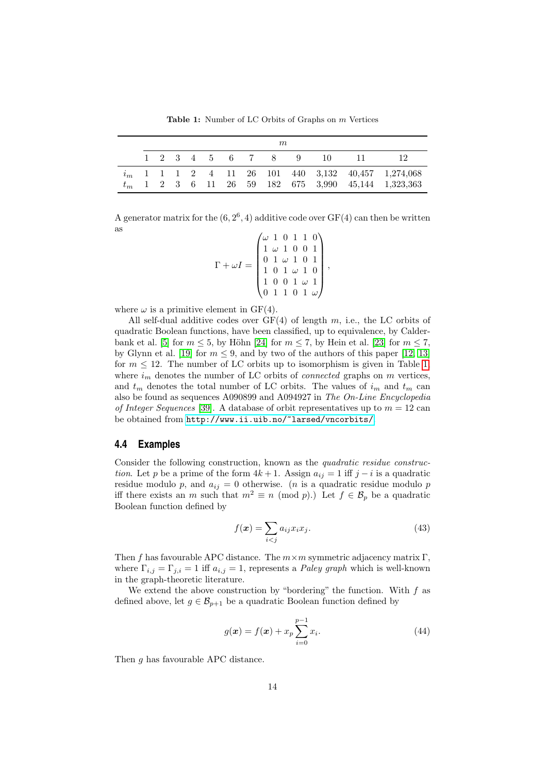<span id="page-13-0"></span>Table 1: Number of LC Orbits of Graphs on  $m$  Vertices

| m |  |  |  |  |  |  |                      |  |  |                  |                                                       |
|---|--|--|--|--|--|--|----------------------|--|--|------------------|-------------------------------------------------------|
|   |  |  |  |  |  |  | 1 2 3 4 5 6 7 8 9 10 |  |  | $\sim$ 11 $\sim$ |                                                       |
|   |  |  |  |  |  |  |                      |  |  |                  | $i_m$ 1 1 1 2 4 11 26 101 440 3,132 40,457 1,274,068  |
|   |  |  |  |  |  |  |                      |  |  |                  | $t_m$ 1 2 3 6 11 26 59 182 675 3,990 45,144 1,323,363 |

A generator matrix for the  $(6, 2^6, 4)$  additive code over  $GF(4)$  can then be written as

$$
\Gamma + \omega I = \begin{pmatrix} \omega & 1 & 0 & 1 & 1 & 0 \\ 1 & \omega & 1 & 0 & 0 & 1 \\ 0 & 1 & \omega & 1 & 0 & 1 \\ 1 & 0 & 1 & \omega & 1 & 0 \\ 1 & 0 & 0 & 1 & \omega & 1 \\ 0 & 1 & 1 & 0 & 1 & \omega \end{pmatrix},
$$

where  $\omega$  is a primitive element in GF(4).

All self-dual additive codes over  $GF(4)$  of length m, i.e., the LC orbits of quadratic Boolean functions, have been classified, up to equivalence, by Calder-bank et al. [\[5\]](#page-28-7) for  $m \leq 5$ , by Höhn [\[24\]](#page-29-11) for  $m \leq 7$ , by Hein et al. [\[23\]](#page-29-2) for  $m \leq 7$ , by Glynn et al. [\[19\]](#page-28-3) for  $m \leq 9$ , and by two of the authors of this paper [\[12,](#page-28-12) [13\]](#page-28-14) for  $m \leq 12$ . The number of LC orbits up to isomorphism is given in Table [1,](#page-13-0) where  $i_m$  denotes the number of LC orbits of *connected* graphs on  $m$  vertices, and  $t_m$  denotes the total number of LC orbits. The values of  $i_m$  and  $t_m$  can also be found as sequences A090899 and A094927 in The On-Line Encyclopedia of Integer Sequences [\[39\]](#page-29-12). A database of orbit representatives up to  $m = 12$  can be obtained from <http://www.ii.uib.no/~larsed/vncorbits/>.

#### <span id="page-13-1"></span>**4.4 Examples**

Consider the following construction, known as the *quadratic residue construc*tion. Let p be a prime of the form  $4k + 1$ . Assign  $a_{ij} = 1$  iff  $j - i$  is a quadratic residue modulo p, and  $a_{ij} = 0$  otherwise. (*n* is a quadratic residue modulo p iff there exists an m such that  $m^2 \equiv n \pmod{p}$ . Let  $f \in \mathcal{B}_p$  be a quadratic Boolean function defined by

$$
f(\boldsymbol{x}) = \sum_{i < j} a_{ij} x_i x_j. \tag{43}
$$

Then f has favourable APC distance. The  $m \times m$  symmetric adjacency matrix  $\Gamma$ , where  $\Gamma_{i,j} = \Gamma_{j,i} = 1$  iff  $a_{i,j} = 1$ , represents a *Paley graph* which is well-known in the graph-theoretic literature.

We extend the above construction by "bordering" the function. With  $f$  as defined above, let  $g \in \mathcal{B}_{p+1}$  be a quadratic Boolean function defined by

$$
g(\boldsymbol{x}) = f(\boldsymbol{x}) + x_p \sum_{i=0}^{p-1} x_i.
$$
 (44)

Then *a* has favourable APC distance.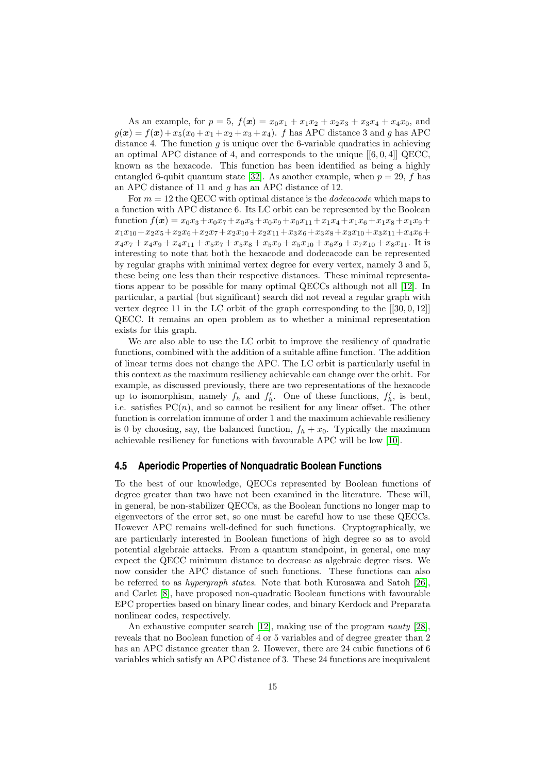As an example, for  $p = 5$ ,  $f(x) = x_0x_1 + x_1x_2 + x_2x_3 + x_3x_4 + x_4x_0$ , and  $g(x) = f(x) + x_5(x_0 + x_1 + x_2 + x_3 + x_4)$ . f has APC distance 3 and g has APC distance 4. The function  $q$  is unique over the 6-variable quadratics in achieving an optimal APC distance of 4, and corresponds to the unique  $[[6, 0, 4]]$  QECC, known as the hexacode. This function has been identified as being a highly entangled 6-qubit quantum state [\[32\]](#page-29-3). As another example, when  $p = 29$ , f has an APC distance of 11 and g has an APC distance of 12.

For  $m = 12$  the QECC with optimal distance is the *dodecacode* which maps to a function with APC distance 6. Its LC orbit can be represented by the Boolean function  $f(x) = x_0x_3 + x_0x_7 + x_0x_8 + x_0x_9 + x_0x_{11} + x_1x_4 + x_1x_6 + x_1x_8 + x_1x_9 +$  $x_1x_{10}+x_2x_5+x_2x_6+x_2x_7+x_2x_{10}+x_2x_{11}+x_3x_6+x_3x_8+x_3x_{10}+x_3x_{11}+x_4x_6+$  $x_4x_7 + x_4x_9 + x_4x_{11} + x_5x_7 + x_5x_8 + x_5x_9 + x_5x_{10} + x_6x_9 + x_7x_{10} + x_8x_{11}$ . It is interesting to note that both the hexacode and dodecacode can be represented by regular graphs with minimal vertex degree for every vertex, namely 3 and 5, these being one less than their respective distances. These minimal representations appear to be possible for many optimal QECCs although not all [\[12\]](#page-28-12). In particular, a partial (but significant) search did not reveal a regular graph with vertex degree 11 in the LC orbit of the graph corresponding to the  $[[30, 0, 12]]$ QECC. It remains an open problem as to whether a minimal representation exists for this graph.

We are also able to use the LC orbit to improve the resiliency of quadratic functions, combined with the addition of a suitable affine function. The addition of linear terms does not change the APC. The LC orbit is particularly useful in this context as the maximum resiliency achievable can change over the orbit. For example, as discussed previously, there are two representations of the hexacode up to isomorphism, namely  $f_h$  and  $f'_h$ . One of these functions,  $f'_h$ , is bent, i.e. satisfies  $PC(n)$ , and so cannot be resilient for any linear offset. The other function is correlation immune of order 1 and the maximum achievable resiliency is 0 by choosing, say, the balanced function,  $f_h + x_0$ . Typically the maximum achievable resiliency for functions with favourable APC will be low [\[10\]](#page-28-9).

#### **4.5 Aperiodic Properties of Nonquadratic Boolean Functions**

To the best of our knowledge, QECCs represented by Boolean functions of degree greater than two have not been examined in the literature. These will, in general, be non-stabilizer QECCs, as the Boolean functions no longer map to eigenvectors of the error set, so one must be careful how to use these QECCs. However APC remains well-defined for such functions. Cryptographically, we are particularly interested in Boolean functions of high degree so as to avoid potential algebraic attacks. From a quantum standpoint, in general, one may expect the QECC minimum distance to decrease as algebraic degree rises. We now consider the APC distance of such functions. These functions can also be referred to as hypergraph states. Note that both Kurosawa and Satoh [\[26\]](#page-29-1), and Carlet [\[8\]](#page-28-0), have proposed non-quadratic Boolean functions with favourable EPC properties based on binary linear codes, and binary Kerdock and Preparata nonlinear codes, respectively.

An exhaustive computer search [\[12\]](#page-28-12), making use of the program nauty [\[28\]](#page-29-13), reveals that no Boolean function of 4 or 5 variables and of degree greater than 2 has an APC distance greater than 2. However, there are 24 cubic functions of 6 variables which satisfy an APC distance of 3. These 24 functions are inequivalent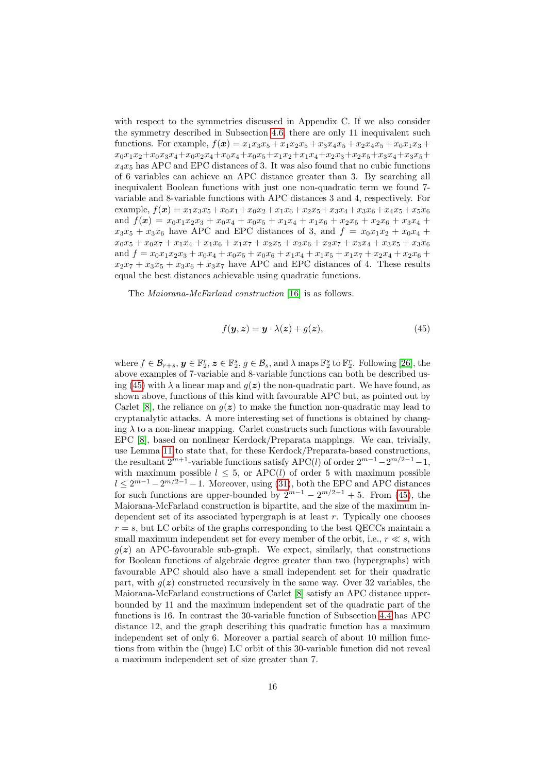with respect to the symmetries discussed in Appendix C. If we also consider the symmetry described in Subsection [4.6,](#page-16-0) there are only 11 inequivalent such functions. For example,  $f(x) = x_1x_3x_5 + x_1x_2x_5 + x_3x_4x_5 + x_2x_4x_5 + x_0x_1x_3 + x_1x_2x_4$  $x_0x_1x_2+x_0x_3x_4+x_0x_2x_4+x_0x_4+x_0x_5+x_1x_2+x_1x_4+x_2x_3+x_2x_5+x_3x_4+x_3x_5+$  $x_4x_5$  has APC and EPC distances of 3. It was also found that no cubic functions of 6 variables can achieve an APC distance greater than 3. By searching all inequivalent Boolean functions with just one non-quadratic term we found 7 variable and 8-variable functions with APC distances 3 and 4, respectively. For example,  $f(x) = x_1x_3x_5+x_0x_1+x_0x_2+x_1x_6+x_2x_5+x_3x_4+x_3x_6+x_4x_5+x_5x_6$ and  $f(x) = x_0x_1x_2x_3 + x_0x_4 + x_0x_5 + x_1x_4 + x_1x_6 + x_2x_5 + x_2x_6 + x_3x_4 +$  $x_3x_5 + x_3x_6$  have APC and EPC distances of 3, and  $f = x_0x_1x_2 + x_0x_4 +$  $x_0x_5+x_0x_7+x_1x_4+x_1x_6+x_1x_7+x_2x_5+x_2x_6+x_2x_7+x_3x_4+x_3x_5+x_3x_6$ and  $f = x_0x_1x_2x_3 + x_0x_4 + x_0x_5 + x_0x_6 + x_1x_4 + x_1x_5 + x_1x_7 + x_2x_4 + x_2x_6 +$  $x_2x_7 + x_3x_5 + x_3x_6 + x_3x_7$  have APC and EPC distances of 4. These results equal the best distances achievable using quadratic functions.

The Maiorana-McFarland construction [\[16\]](#page-28-11) is as follows.

<span id="page-15-0"></span>
$$
f(\mathbf{y}, \mathbf{z}) = \mathbf{y} \cdot \lambda(\mathbf{z}) + g(\mathbf{z}), \tag{45}
$$

where  $f \in \mathcal{B}_{r+s}, \, y \in \mathbb{F}_2^r, \, z \in \mathbb{F}_2^s, \, g \in \mathcal{B}_s$ , and  $\lambda$  maps  $\mathbb{F}_2^s$  to  $\mathbb{F}_2^r$ . Following [\[26\]](#page-29-1), the above examples of 7-variable and 8-variable functions can both be described us-ing [\(45\)](#page-15-0) with  $\lambda$  a linear map and  $g(z)$  the non-quadratic part. We have found, as shown above, functions of this kind with favourable APC but, as pointed out by Carlet [\[8\]](#page-28-0), the reliance on  $g(z)$  to make the function non-quadratic may lead to cryptanalytic attacks. A more interesting set of functions is obtained by changing  $\lambda$  to a non-linear mapping. Carlet constructs such functions with favourable EPC [\[8\]](#page-28-0), based on nonlinear Kerdock/Preparata mappings. We can, trivially, use Lemma [11](#page-7-3) to state that, for these Kerdock/Preparata-based constructions, the resultant  $2^{m+1}$ -variable functions satisfy APC(l) of order  $2^{m-1}-2^{m/2-1}-1$ , with maximum possible  $l \leq 5$ , or APC(l) of order 5 with maximum possible  $l \leq 2^{m-1} - 2^{m/2-1} - 1$ . Moreover, using [\(31\)](#page-6-3), both the EPC and APC distances for such functions are upper-bounded by  $2^{m-1} - 2^{m/2-1} + 5$ . From [\(45\)](#page-15-0), the Maiorana-McFarland construction is bipartite, and the size of the maximum independent set of its associated hypergraph is at least  $r$ . Typically one chooses  $r = s$ , but LC orbits of the graphs corresponding to the best QECCs maintain a small maximum independent set for every member of the orbit, i.e.,  $r \ll s$ , with  $g(z)$  an APC-favourable sub-graph. We expect, similarly, that constructions for Boolean functions of algebraic degree greater than two (hypergraphs) with favourable APC should also have a small independent set for their quadratic part, with  $g(z)$  constructed recursively in the same way. Over 32 variables, the Maiorana-McFarland constructions of Carlet [\[8\]](#page-28-0) satisfy an APC distance upperbounded by 11 and the maximum independent set of the quadratic part of the functions is 16. In contrast the 30-variable function of Subsection [4.4](#page-13-1) has APC distance 12, and the graph describing this quadratic function has a maximum independent set of only 6. Moreover a partial search of about 10 million functions from within the (huge) LC orbit of this 30-variable function did not reveal a maximum independent set of size greater than 7.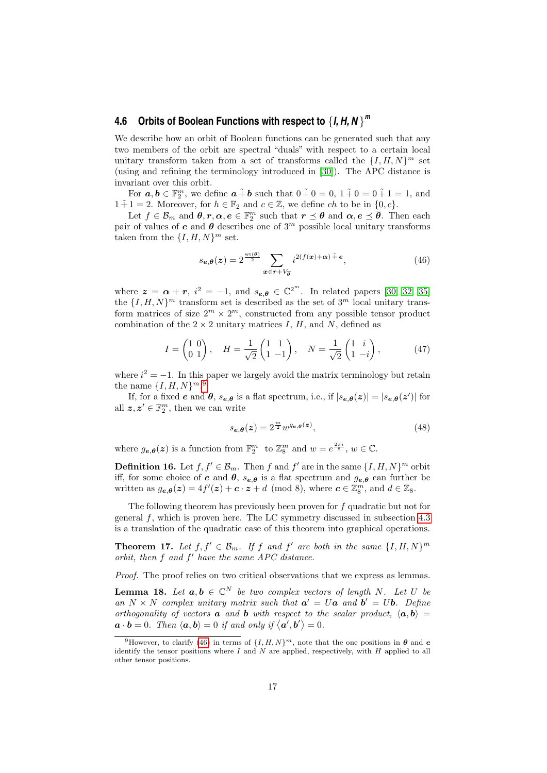# <span id="page-16-0"></span>**4.6 Orbits of Boolean Functions with respect to** {*I, H, N* } *m*

We describe how an orbit of Boolean functions can be generated such that any two members of the orbit are spectral "duals" with respect to a certain local unitary transform taken from a set of transforms called the  $\{I, H, N\}^m$  set (using and refining the terminology introduced in [\[30\]](#page-29-14)). The APC distance is invariant over this orbit.

For  $a, b \in \mathbb{F}_2^m$ , we define  $a \tilde{+} b$  such that  $0 \tilde{+} 0 = 0$ ,  $1 \tilde{+} 0 = 0 \tilde{+} 1 = 1$ , and  $1 + 1 = 2$ . Moreover, for  $h \in \mathbb{F}_2$  and  $c \in \mathbb{Z}$ , we define ch to be in  $\{0, c\}$ .

Let  $f \in \mathcal{B}_m$  and  $\theta, r, \alpha, e \in \mathbb{F}_2^m$  such that  $r \preceq \theta$  and  $\alpha, e \preceq \overline{\theta}$ . Then each pair of values of e and  $\theta$  describes one of 3<sup>m</sup> possible local unitary transforms taken from the  $\{I, H, N\}^m$  set.

<span id="page-16-2"></span>
$$
s_{\mathbf{e},\mathbf{\theta}}(\mathbf{z}) = 2^{\frac{\mathrm{wt}(\mathbf{\theta})}{2}} \sum_{\mathbf{x} \in \mathbf{r} + V_{\overline{\mathbf{\theta}}}} i^{2(f(\mathbf{x}) + \alpha) + \mathbf{e}},\tag{46}
$$

where  $\boldsymbol{z} = \boldsymbol{\alpha} + \boldsymbol{r}$ ,  $i^2 = -1$ , and  $s_{\boldsymbol{e},\boldsymbol{\theta}} \in \mathbb{C}^{2^m}$ . In related papers [\[30,](#page-29-14) [32,](#page-29-3) [35\]](#page-29-7) the  $\{I, H, N\}^m$  transform set is described as the set of  $3^m$  local unitary transform matrices of size  $2^m \times 2^m$ , constructed from any possible tensor product combination of the  $2 \times 2$  unitary matrices I, H, and N, defined as

$$
I = \begin{pmatrix} 1 & 0 \\ 0 & 1 \end{pmatrix}, \quad H = \frac{1}{\sqrt{2}} \begin{pmatrix} 1 & 1 \\ 1 & -1 \end{pmatrix}, \quad N = \frac{1}{\sqrt{2}} \begin{pmatrix} 1 & i \\ 1 & -i \end{pmatrix}, \tag{47}
$$

where  $i^2 = -1$ . In this paper we largely avoid the matrix terminology but retain the name  $\{I, H, N\}^{m.9}$  $\{I, H, N\}^{m.9}$  $\{I, H, N\}^{m.9}$ 

If, for a fixed e and  $\theta$ ,  $s_{e,\theta}$  is a flat spectrum, i.e., if  $|s_{e,\theta}(z)| = |s_{e,\theta}(z')|$  for all  $z, z' \in \mathbb{F}_2^m$ , then we can write

$$
s_{\mathbf{e},\theta}(z) = 2^{\frac{m}{2}} w^{g_{\mathbf{e},\theta}(z)},\tag{48}
$$

where  $g_{e,\theta}(z)$  is a function from  $\mathbb{F}_2^m$  to  $\mathbb{Z}_8^m$  and  $w=e^{\frac{2\pi i}{8}}, w \in \mathbb{C}$ .

**Definition 16.** Let  $f, f' \in \mathcal{B}_m$ . Then f and f' are in the same  $\{I, H, N\}^m$  orbit iff, for some choice of e and  $\theta$ ,  $s_{e,\theta}$  is a flat spectrum and  $g_{e,\theta}$  can further be written as  $g_{\boldsymbol{e},\boldsymbol{\theta}}(\boldsymbol{z}) = 4f'(\boldsymbol{z}) + \boldsymbol{c} \cdot \boldsymbol{z} + d \pmod{8}$ , where  $\boldsymbol{c} \in \mathbb{Z}_8^m$ , and  $d \in \mathbb{Z}_8$ .

The following theorem has previously been proven for  $f$  quadratic but not for general  $f$ , which is proven here. The LC symmetry discussed in subsection [4.3](#page-11-1) is a translation of the quadratic case of this theorem into graphical operations.

**Theorem 17.** Let  $f, f' \in \mathcal{B}_m$ . If f and f' are both in the same  $\{I, H, N\}^m$ orbit, then  $f$  and  $f'$  have the same  $APC$  distance.

Proof. The proof relies on two critical observations that we express as lemmas.

<span id="page-16-3"></span>**Lemma 18.** Let  $a, b \in \mathbb{C}^N$  be two complex vectors of length N. Let U be an  $N \times N$  complex unitary matrix such that  $a' = Ua$  and  $b' = Ub$ . Define orthogonality of vectors **a** and **b** with respect to the scalar product,  $\langle \mathbf{a}, \mathbf{b} \rangle =$  $\mathbf{a} \cdot \mathbf{b} = 0$ . Then  $\langle \mathbf{a}, \mathbf{b} \rangle = 0$  if and only if  $\langle \mathbf{a}', \mathbf{b}' \rangle = 0$ .

<span id="page-16-1"></span><sup>&</sup>lt;sup>9</sup>However, to clarify [\(46\)](#page-16-2) in terms of  $\{I, H, N\}^m$ , note that the one positions in  $\theta$  and  $\epsilon$ identify the tensor positions where  $I$  and  $N$  are applied, respectively, with  $H$  applied to all other tensor positions.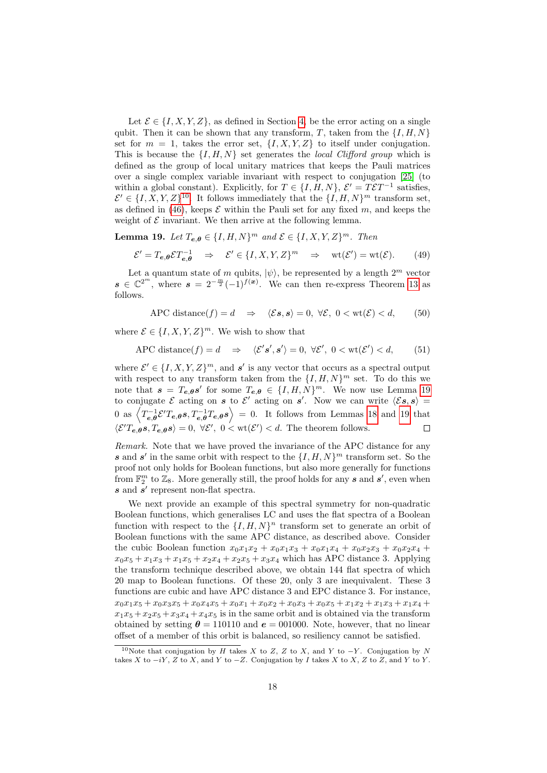Let  $\mathcal{E} \in \{I, X, Y, Z\}$ , as defined in Section [4,](#page-8-3) be the error acting on a single qubit. Then it can be shown that any transform, T, taken from the  $\{I, H, N\}$ set for  $m = 1$ , takes the error set,  $\{I, X, Y, Z\}$  to itself under conjugation. This is because the  $\{I, H, N\}$  set generates the *local Clifford group* which is defined as the group of local unitary matrices that keeps the Pauli matrices over a single complex variable invariant with respect to conjugation [\[25\]](#page-29-15) (to within a global constant). Explicitly, for  $T \in \{I, H, N\}, \mathcal{E}' = T\mathcal{E}T^{-1}$  satisfies,  $\mathcal{E}' \in \{I, X, Y, Z\}^{10}$  $\mathcal{E}' \in \{I, X, Y, Z\}^{10}$  $\mathcal{E}' \in \{I, X, Y, Z\}^{10}$ . It follows immediately that the  $\{I, H, N\}^m$  transform set, as defined in [\(46\)](#page-16-2), keeps  $\mathcal E$  within the Pauli set for any fixed m, and keeps the weight of  $\mathcal E$  invariant. We then arrive at the following lemma.

<span id="page-17-1"></span>**Lemma 19.** Let  $T_{e,\theta} \in \{I, H, N\}^m$  and  $\mathcal{E} \in \{I, X, Y, Z\}^m$ . Then

$$
\mathcal{E}' = T_{e,\theta} \mathcal{E} T_{e,\theta}^{-1} \quad \Rightarrow \quad \mathcal{E}' \in \{I, X, Y, Z\}^m \quad \Rightarrow \quad \text{wt}(\mathcal{E}') = \text{wt}(\mathcal{E}). \tag{49}
$$

Let a quantum state of m qubits,  $|\psi\rangle$ , be represented by a length  $2^m$  vector  $s \in \mathbb{C}^{2^m}$ , where  $s = 2^{-\frac{m}{2}}(-1)^{f(x)}$ . We can then re-express Theorem [13](#page-10-2) as follows.

$$
APC distance(f) = d \Rightarrow \langle \mathcal{E}s, s \rangle = 0, \ \forall \mathcal{E}, \ 0 < wt(\mathcal{E}) < d,\tag{50}
$$

where  $\mathcal{E} \in \{I, X, Y, Z\}^m$ . We wish to show that

APC distance(f) =  $d \Rightarrow \langle \mathcal{E}' s', s' \rangle = 0, \forall \mathcal{E}', 0 < \text{wt}(\mathcal{E}') < d,$  (51)

where  $\mathcal{E}' \in \{I, X, Y, Z\}^m$ , and s' is any vector that occurs as a spectral output with respect to any transform taken from the  $\{I, H, N\}^m$  set. To do this we note that  $s = T_{e,\theta} s'$  for some  $T_{e,\theta} \in \{I, H, N\}^m$ . We now use Lemma [19](#page-17-1) to conjugate  $\mathcal E$  acting on s to  $\mathcal E'$  acting on s'. Now we can write  $\langle \mathcal E s, s \rangle =$ 0 as  $\left\langle T_{e,\theta}^{-1} \mathcal{E}' T_{e,\theta} s, T_{e,\theta}^{-1} T_{e,\theta} s \right\rangle = 0$ . It follows from Lemmas [18](#page-16-3) and [19](#page-17-1) that  $\langle \mathcal{E}' T_{e,\theta} s, T_{e,\theta} s \rangle = 0, \ \forall \mathcal{E}', 0 < \text{wt}(\mathcal{E}') < d.$  The theorem follows.

Remark. Note that we have proved the invariance of the APC distance for any s and s' in the same orbit with respect to the  $\{I, H, N\}^m$  transform set. So the proof not only holds for Boolean functions, but also more generally for functions from  $\mathbb{F}_2^m$  to  $\mathbb{Z}_8$ . More generally still, the proof holds for any **s** and **s'**, even when  $\boldsymbol{s}$  and  $\boldsymbol{s}'$  represent non-flat spectra.

We next provide an example of this spectral symmetry for non-quadratic Boolean functions, which generalises LC and uses the flat spectra of a Boolean function with respect to the  $\{I, H, N\}^n$  transform set to generate an orbit of Boolean functions with the same APC distance, as described above. Consider the cubic Boolean function  $x_0x_1x_2 + x_0x_1x_3 + x_0x_1x_4 + x_0x_2x_3 + x_0x_2x_4 +$  $x_0x_5 + x_1x_3 + x_1x_5 + x_2x_4 + x_2x_5 + x_3x_4$  which has APC distance 3. Applying the transform technique described above, we obtain 144 flat spectra of which 20 map to Boolean functions. Of these 20, only 3 are inequivalent. These 3 functions are cubic and have APC distance 3 and EPC distance 3. For instance,  $x_0x_1x_5 + x_0x_3x_5 + x_0x_4x_5 + x_0x_1 + x_0x_2 + x_0x_3 + x_0x_5 + x_1x_2 + x_1x_3 + x_1x_4 +$  $x_1x_5 + x_2x_5 + x_3x_4 + x_4x_5$  is in the same orbit and is obtained via the transform obtained by setting  $\theta = 110110$  and  $\epsilon = 001000$ . Note, however, that no linear offset of a member of this orbit is balanced, so resiliency cannot be satisfied.

<span id="page-17-0"></span><sup>&</sup>lt;sup>10</sup>Note that conjugation by H takes X to Z, Z to X, and Y to  $-Y$ . Conjugation by N takes X to  $-iY$ , Z to X, and Y to  $-Z$ . Conjugation by I takes X to X, Z to Z, and Y to Y.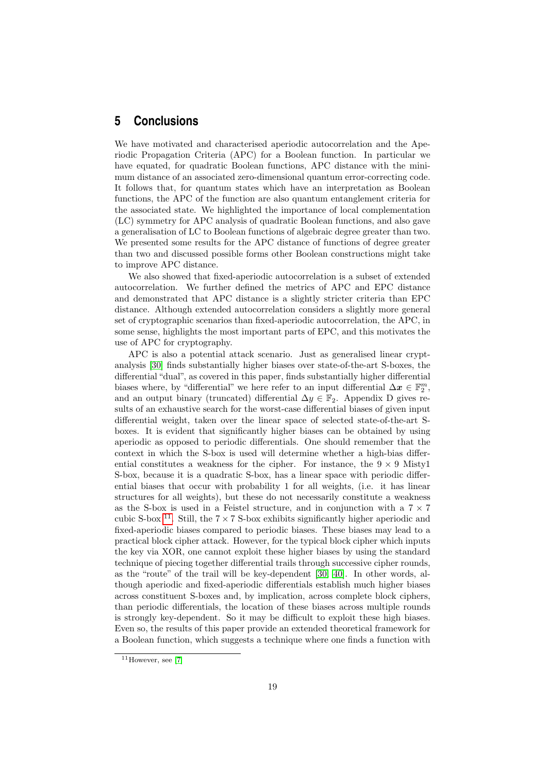### **5 Conclusions**

We have motivated and characterised aperiodic autocorrelation and the Aperiodic Propagation Criteria (APC) for a Boolean function. In particular we have equated, for quadratic Boolean functions, APC distance with the minimum distance of an associated zero-dimensional quantum error-correcting code. It follows that, for quantum states which have an interpretation as Boolean functions, the APC of the function are also quantum entanglement criteria for the associated state. We highlighted the importance of local complementation (LC) symmetry for APC analysis of quadratic Boolean functions, and also gave a generalisation of LC to Boolean functions of algebraic degree greater than two. We presented some results for the APC distance of functions of degree greater than two and discussed possible forms other Boolean constructions might take to improve APC distance.

We also showed that fixed-aperiodic autocorrelation is a subset of extended autocorrelation. We further defined the metrics of APC and EPC distance and demonstrated that APC distance is a slightly stricter criteria than EPC distance. Although extended autocorrelation considers a slightly more general set of cryptographic scenarios than fixed-aperiodic autocorrelation, the APC, in some sense, highlights the most important parts of EPC, and this motivates the use of APC for cryptography.

APC is also a potential attack scenario. Just as generalised linear cryptanalysis [\[30\]](#page-29-14) finds substantially higher biases over state-of-the-art S-boxes, the differential "dual", as covered in this paper, finds substantially higher differential biases where, by "differential" we here refer to an input differential  $\Delta x \in \mathbb{F}_2^m$ , and an output binary (truncated) differential  $\Delta y \in \mathbb{F}_2$ . Appendix D gives results of an exhaustive search for the worst-case differential biases of given input differential weight, taken over the linear space of selected state-of-the-art Sboxes. It is evident that significantly higher biases can be obtained by using aperiodic as opposed to periodic differentials. One should remember that the context in which the S-box is used will determine whether a high-bias differential constitutes a weakness for the cipher. For instance, the  $9 \times 9$  Misty1 S-box, because it is a quadratic S-box, has a linear space with periodic differential biases that occur with probability 1 for all weights, (i.e. it has linear structures for all weights), but these do not necessarily constitute a weakness as the S-box is used in a Feistel structure, and in conjunction with a  $7 \times 7$ cubic S-box  $^{11}$  $^{11}$  $^{11}$ . Still, the  $7 \times 7$  S-box exhibits significantly higher aperiodic and fixed-aperiodic biases compared to periodic biases. These biases may lead to a practical block cipher attack. However, for the typical block cipher which inputs the key via XOR, one cannot exploit these higher biases by using the standard technique of piecing together differential trails through successive cipher rounds, as the "route" of the trail will be key-dependent [\[30,](#page-29-14) [40\]](#page-29-16). In other words, although aperiodic and fixed-aperiodic differentials establish much higher biases across constituent S-boxes and, by implication, across complete block ciphers, than periodic differentials, the location of these biases across multiple rounds is strongly key-dependent. So it may be difficult to exploit these high biases. Even so, the results of this paper provide an extended theoretical framework for a Boolean function, which suggests a technique where one finds a function with

<span id="page-18-0"></span> $11$ However, see [\[7\]](#page-28-15)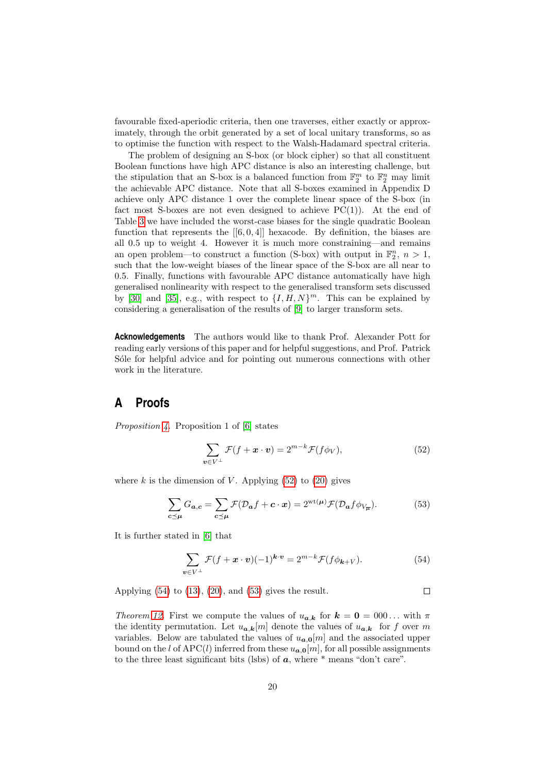favourable fixed-aperiodic criteria, then one traverses, either exactly or approximately, through the orbit generated by a set of local unitary transforms, so as to optimise the function with respect to the Walsh-Hadamard spectral criteria.

The problem of designing an S-box (or block cipher) so that all constituent Boolean functions have high APC distance is also an interesting challenge, but the stipulation that an S-box is a balanced function from  $\mathbb{F}_2^m$  to  $\mathbb{F}_2^n$  may limit the achievable APC distance. Note that all S-boxes examined in Appendix D achieve only APC distance 1 over the complete linear space of the S-box (in fact most S-boxes are not even designed to achieve  $PC(1)$ ). At the end of Table [3](#page-27-0) we have included the worst-case biases for the single quadratic Boolean function that represents the  $[[6, 0, 4]]$  hexacode. By definition, the biases are all 0.5 up to weight 4. However it is much more constraining—and remains an open problem—to construct a function (S-box) with output in  $\mathbb{F}_2^n$ ,  $n > 1$ , such that the low-weight biases of the linear space of the S-box are all near to 0.5. Finally, functions with favourable APC distance automatically have high generalised nonlinearity with respect to the generalised transform sets discussed by [\[30\]](#page-29-14) and [\[35\]](#page-29-7), e.g., with respect to  $\{I, H, N\}^m$ . This can be explained by considering a generalisation of the results of [\[9\]](#page-28-16) to larger transform sets.

**Acknowledgements** The authors would like to thank Prof. Alexander Pott for reading early versions of this paper and for helpful suggestions, and Prof. Patrick Sole for helpful advice and for pointing out numerous connections with other work in the literature.

# **A Proofs**

Proposition [4.](#page-4-0) Proposition 1 of [\[6\]](#page-28-17) states

<span id="page-19-0"></span>
$$
\sum_{\mathbf{v}\in V^{\perp}}\mathcal{F}(f+\mathbf{x}\cdot\mathbf{v})=2^{m-k}\mathcal{F}(f\phi_V),\tag{52}
$$

where k is the dimension of V. Applying  $(52)$  to  $(20)$  gives

$$
\sum_{c \preceq \mu} G_{a,c} = \sum_{c \preceq \mu} \mathcal{F}(\mathcal{D}_a f + c \cdot x) = 2^{\text{wt}(\mu)} \mathcal{F}(\mathcal{D}_a f \phi_{V_{\overline{\mu}}}). \tag{53}
$$

It is further stated in [\[6\]](#page-28-17) that

<span id="page-19-1"></span>
$$
\sum_{\mathbf{v}\in V^{\perp}} \mathcal{F}(f+\mathbf{x}\cdot\mathbf{v})(-1)^{\mathbf{k}\cdot\mathbf{v}} = 2^{m-k}\mathcal{F}(f\phi_{\mathbf{k}+V}).\tag{54}
$$

<span id="page-19-2"></span> $\Box$ 

Applying  $(54)$  to  $(13)$ ,  $(20)$ , and  $(53)$  gives the result.

Theorem [12.](#page-7-2) First we compute the values of  $u_{a,k}$  for  $k = 0 = 000...$  with  $\pi$ the identity permutation. Let  $u_{a,k}[m]$  denote the values of  $u_{a,k}$  for f over m variables. Below are tabulated the values of  $u_{a,0}[m]$  and the associated upper bound on the l of APC(l) inferred from these  $u_{a,0}[m]$ , for all possible assignments to the three least significant bits (lsbs) of  $a$ , where  $*$  means "don't care".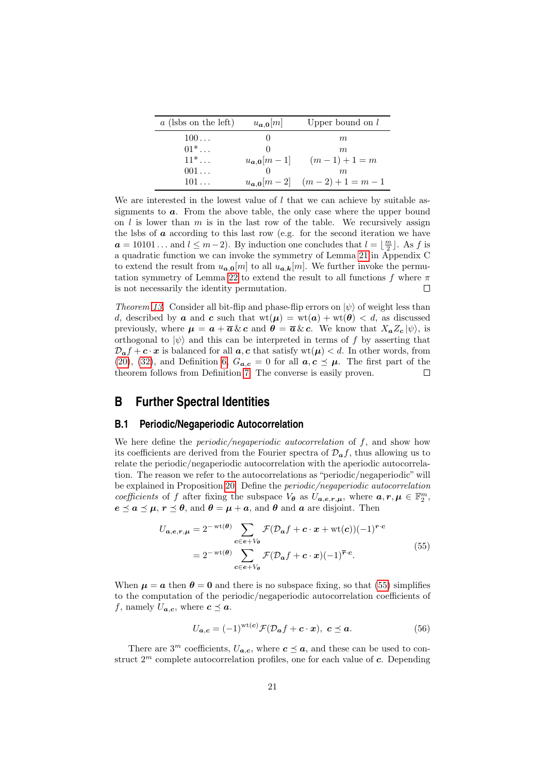| $a$ (lsbs on the left) | $u_{\boldsymbol{a},\boldsymbol{0}}[m]$ | Upper bound on $l$           |
|------------------------|----------------------------------------|------------------------------|
| $100 \ldots$           |                                        | m                            |
| $01^* \dots$           |                                        | m                            |
| $11^*$                 | $u_{\bm{a},\bm{0}}[m-1]$               | $(m-1)+1=m$                  |
| $001 \ldots$           |                                        | m                            |
| $101 \ldots$           |                                        | $u_{a,0}[m-2]$ $(m-2)+1=m-1$ |

We are interested in the lowest value of  $l$  that we can achieve by suitable assignments to  $a$ . From the above table, the only case where the upper bound on  $l$  is lower than  $m$  is in the last row of the table. We recursively assign the lsbs of  $\boldsymbol{a}$  according to this last row (e.g. for the second iteration we have  $a = 10101...$  and  $l \leq m-2$ ). By induction one concludes that  $l = \lfloor \frac{m}{2} \rfloor$ . As f is a quadratic function we can invoke the symmetry of Lemma [21](#page-23-0) in Appendix C to extend the result from  $u_{a,0}[m]$  to all  $u_{a,k}[m]$ . We further invoke the permu-tation symmetry of Lemma [22](#page-23-1) to extend the result to all functions f where  $\pi$ is not necessarily the identity permutation.  $\Box$ 

Theorem [13.](#page-10-2) Consider all bit-flip and phase-flip errors on  $|\psi\rangle$  of weight less than d, described by **a** and **c** such that  $wt(\mu) = wt(a) + wt(\theta) < d$ , as discussed previously, where  $\mu = a + \overline{a} \& c$  and  $\theta = \overline{a} \& c$ . We know that  $X_a Z_c |\psi\rangle$ , is orthogonal to  $|\psi\rangle$  and this can be interpreted in terms of f by asserting that  $\mathcal{D}_{a} f + c \cdot x$  is balanced for all  $a, c$  that satisfy wt $(\mu) < d$ . In other words, from [\(20\)](#page-4-1), [\(32\)](#page-7-4), and Definition [6,](#page-6-4)  $G_{a,c} = 0$  for all  $a, c \preceq \mu$ . The first part of the theorem follows from Definition [7.](#page-6-5) The converse is easily proven.  $\Box$ 

### **B Further Spectral Identities**

#### <span id="page-20-0"></span>**B.1 Periodic/Negaperiodic Autocorrelation**

We here define the *periodic/negaperiodic autocorrelation* of  $f$ , and show how its coefficients are derived from the Fourier spectra of  $\mathcal{D}_{\alpha} f$ , thus allowing us to relate the periodic/negaperiodic autocorrelation with the aperiodic autocorrelation. The reason we refer to the autocorrelations as "periodic/negaperiodic" will be explained in Proposition [20.](#page-21-0) Define the *periodic/negaperiodic autocorrelation* coefficients of f after fixing the subspace  $V_{\theta}$  as  $U_{a,e,r,\mu}$ , where  $a,r,\mu \in \mathbb{F}_2^m$ ,  $e \preceq a \preceq \mu$ ,  $r \preceq \theta$ , and  $\theta = \mu + a$ , and  $\theta$  and  $a$  are disjoint. Then

<span id="page-20-1"></span>
$$
U_{a,e,r,\mu} = 2^{-wt(\theta)} \sum_{c \in e + V_{\theta}} \mathcal{F}(\mathcal{D}_a f + c \cdot x + wt(c))(-1)^{r \cdot c}
$$
  
= 
$$
2^{-wt(\theta)} \sum_{c \in e + V_{\theta}} \mathcal{F}(\mathcal{D}_a f + c \cdot x)(-1)^{\overline{r} \cdot c}.
$$
 (55)

When  $\mu = \alpha$  then  $\theta = 0$  and there is no subspace fixing, so that [\(55\)](#page-20-1) simplifies to the computation of the periodic/negaperiodic autocorrelation coefficients of f, namely  $U_{\boldsymbol{a},\boldsymbol{c}}$ , where  $\boldsymbol{c} \preceq \boldsymbol{a}$ .

<span id="page-20-2"></span>
$$
U_{\mathbf{a},\mathbf{c}} = (-1)^{\text{wt}(\mathbf{c})} \mathcal{F}(\mathcal{D}_{\mathbf{a}}f + \mathbf{c} \cdot \mathbf{x}), \ \mathbf{c} \preceq \mathbf{a}.\tag{56}
$$

There are 3<sup>m</sup> coefficients,  $U_{a,c}$ , where  $c \preceq a$ , and these can be used to construct  $2^m$  complete autocorrelation profiles, one for each value of c. Depending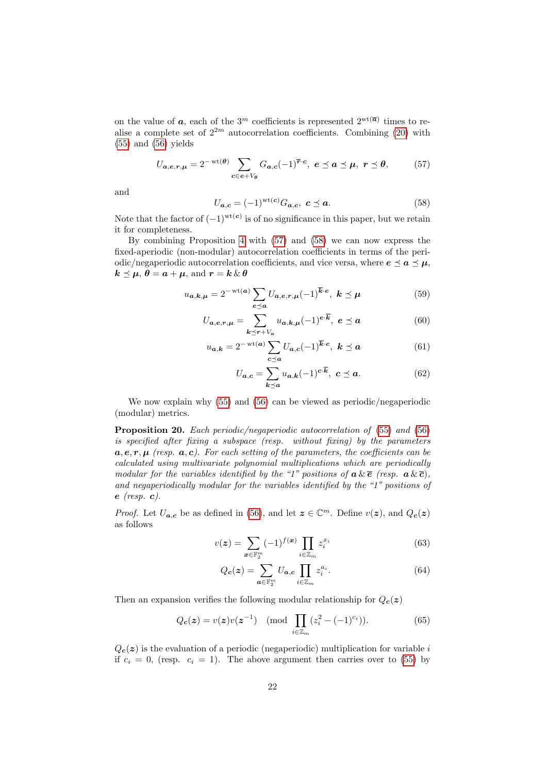on the value of  $a$ , each of the 3<sup>m</sup> coefficients is represented  $2^{\text{wt}(\overline{a})}$  times to realise a complete set of  $2^{2m}$  autocorrelation coefficients. Combining [\(20\)](#page-4-1) with [\(55\)](#page-20-1) and [\(56\)](#page-20-2) yields

<span id="page-21-1"></span>
$$
U_{a,e,r,\mu} = 2^{-\text{wt}(\theta)} \sum_{c \in e + V_{\theta}} G_{a,c}(-1)^{\overline{r}\cdot c}, \ e \preceq a \preceq \mu, \ r \preceq \theta,
$$
 (57)

<span id="page-21-2"></span>and

$$
U_{\mathbf{a},\mathbf{c}} = (-1)^{\text{wt}(\mathbf{c})} G_{\mathbf{a},\mathbf{c}}, \ \mathbf{c} \preceq \mathbf{a}.\tag{58}
$$

Note that the factor of  $(-1)^{\text{wt}(c)}$  is of no significance in this paper, but we retain it for completeness.

By combining Proposition [4](#page-4-0) with [\(57\)](#page-21-1) and [\(58\)](#page-21-2) we can now express the fixed-aperiodic (non-modular) autocorrelation coefficients in terms of the periodic/negaperiodic autocorrelation coefficients, and vice versa, where  $e \preceq a \preceq \mu$ ,  $k \preceq \mu$ ,  $\theta = a + \mu$ , and  $r = k \& \theta$ 

$$
u_{\mathbf{a},\mathbf{k},\mathbf{\mu}} = 2^{-\text{wt}(\mathbf{a})} \sum_{\mathbf{e} \preceq \mathbf{a}} U_{\mathbf{a},\mathbf{e},\mathbf{r},\mathbf{\mu}} (-1)^{\overline{\mathbf{k}} \cdot \mathbf{e}}, \ \mathbf{k} \preceq \mathbf{\mu} \tag{59}
$$

$$
U_{\mathbf{a},\mathbf{e},\mathbf{r},\mu} = \sum_{\mathbf{k}\leq\mathbf{r}+\mathbf{V}_{\mathbf{a}}} u_{\mathbf{a},\mathbf{k},\mu} (-1)^{\mathbf{e}\cdot\overline{\mathbf{k}}}, \ \mathbf{e}\preceq\mathbf{a} \tag{60}
$$

$$
u_{\mathbf{a},\mathbf{k}} = 2^{-\text{ wt}(\mathbf{a})} \sum_{\mathbf{c} \preceq \mathbf{a}} U_{\mathbf{a},\mathbf{c}} (-1)^{\overline{\mathbf{k}} \cdot \mathbf{c}}, \ \mathbf{k} \preceq \mathbf{a} \tag{61}
$$

<span id="page-21-4"></span><span id="page-21-3"></span>
$$
U_{\mathbf{a},\mathbf{c}} = \sum_{\mathbf{k}\preceq\mathbf{a}} u_{\mathbf{a},\mathbf{k}} (-1)^{\mathbf{c}\cdot\overline{\mathbf{k}}}, \ \mathbf{c}\preceq\mathbf{a}.\tag{62}
$$

We now explain why [\(55\)](#page-20-1) and [\(56\)](#page-20-2) can be viewed as periodic/negaperiodic (modular) metrics.

<span id="page-21-0"></span>Proposition 20. Each periodic/negaperiodic autocorrelation of [\(55\)](#page-20-1) and [\(56\)](#page-20-2) is specified after fixing a subspace (resp. without fixing) by the parameters  $a, e, r, \mu$  (resp.  $a, c$ ). For each setting of the parameters, the coefficients can be calculated using multivariate polynomial multiplications which are periodically modular for the variables identified by the "1" positions of  $a \& \overline{e}$  (resp.  $a \& \overline{c}$ ), and negaperiodically modular for the variables identified by the "1" positions of  $e$  (resp.  $c$ ).

*Proof.* Let  $U_{a,c}$  be as defined in [\(56\)](#page-20-2), and let  $z \in \mathbb{C}^m$ . Define  $v(z)$ , and  $Q_c(z)$ as follows

$$
v(\boldsymbol{z}) = \sum_{\boldsymbol{x} \in \mathbb{F}_2^m} (-1)^{f(\boldsymbol{x})} \prod_{i \in \mathbb{Z}_m} z_i^{x_i}
$$
(63)

$$
Q_c(z) = \sum_{a \in \mathbb{F}_2^m} U_{a,c} \prod_{i \in \mathbb{Z}_m} z_i^{a_i}.
$$
 (64)

Then an expansion verifies the following modular relationship for  $Q_c(z)$ 

$$
Q_c(z) = v(z)v(z^{-1}) \pmod{\prod_{i \in \mathbb{Z}_m} (z_i^2 - (-1)^{c_i})}.
$$
 (65)

 $Q_c(z)$  is the evaluation of a periodic (negaperiodic) multiplication for variable i if  $c_i = 0$ , (resp.  $c_i = 1$ ). The above argument then carries over to [\(55\)](#page-20-1) by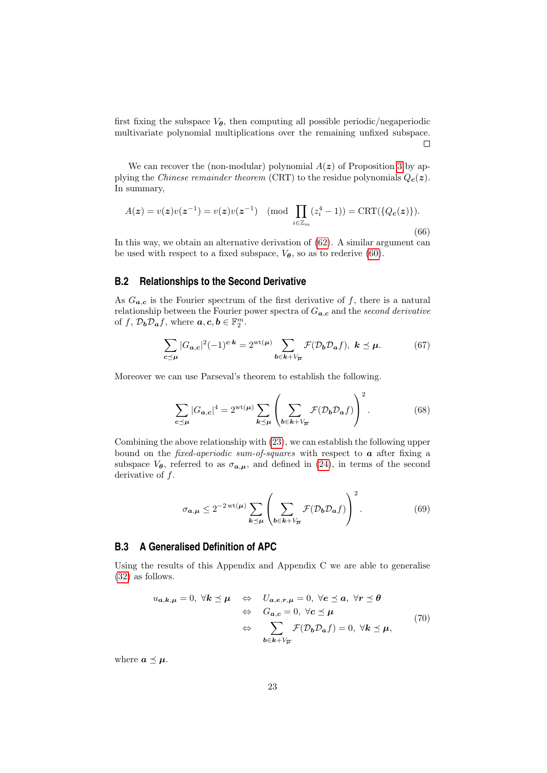first fixing the subspace  $V_{\theta}$ , then computing all possible periodic/negaperiodic multivariate polynomial multiplications over the remaining unfixed subspace.  $\Box$ 

We can recover the (non-modular) polynomial  $A(z)$  of Proposition [3](#page-4-2) by applying the Chinese remainder theorem (CRT) to the residue polynomials  $Q_c(z)$ . In summary,

$$
A(z) = v(z)v(z^{-1}) = v(z)v(z^{-1}) \pmod{\prod_{i \in \mathbb{Z}_m} (z_i^4 - 1)} = \text{CRT}(\{Q_c(z)\}).
$$
\n(66)

In this way, we obtain an alternative derivation of [\(62\)](#page-21-3). A similar argument can be used with respect to a fixed subspace,  $V_{\theta}$ , so as to rederive [\(60\)](#page-21-4).

#### <span id="page-22-0"></span>**B.2 Relationships to the Second Derivative**

As  $G_{a,c}$  is the Fourier spectrum of the first derivative of f, there is a natural relationship between the Fourier power spectra of  $G_{a,c}$  and the second derivative of  $f, \mathcal{D}_b \mathcal{D}_a f$ , where  $a, c, b \in \mathbb{F}_2^m$ .

$$
\sum_{c \preceq \mu} |G_{a,c}|^2 (-1)^{c \cdot k} = 2^{\text{wt}(\mu)} \sum_{b \in k + V_{\overline{\mu}}} \mathcal{F}(\mathcal{D}_b \mathcal{D}_a f), \ k \preceq \mu. \tag{67}
$$

Moreover we can use Parseval's theorem to establish the following.

$$
\sum_{c \preceq \mu} |G_{a,c}|^4 = 2^{\text{wt}(\mu)} \sum_{k \preceq \mu} \left( \sum_{b \in k + V_{\mu}} \mathcal{F}(\mathcal{D}_b \mathcal{D}_a f) \right)^2.
$$
 (68)

Combining the above relationship with [\(23\)](#page-5-3), we can establish the following upper bound on the *fixed-aperiodic sum-of-squares* with respect to  $\boldsymbol{a}$  after fixing a subspace  $V_{\theta}$ , referred to as  $\sigma_{a,\mu}$ , and defined in [\(24\)](#page-5-4), in terms of the second derivative of  $f$ .

$$
\sigma_{a,\mu} \le 2^{-2 \operatorname{wt}(\mu)} \sum_{k \le \mu} \left( \sum_{b \in k + V_{\overline{\mu}}} \mathcal{F}(\mathcal{D}_b \mathcal{D}_a f) \right)^2.
$$
 (69)

#### **B.3 A Generalised Definition of APC**

Using the results of this Appendix and Appendix C we are able to generalise [\(32\)](#page-7-4) as follows.

$$
u_{a,k,\mu} = 0, \forall k \le \mu \Leftrightarrow U_{a,e,r,\mu} = 0, \forall e \le a, \forall r \le \theta
$$
  

$$
\Leftrightarrow G_{a,c} = 0, \forall c \le \mu
$$
  

$$
\Leftrightarrow \sum_{b \in k + V_{\mu}} \mathcal{F}(\mathcal{D}_b \mathcal{D}_a f) = 0, \forall k \le \mu,
$$
 (70)

where  $a \preceq \mu$ .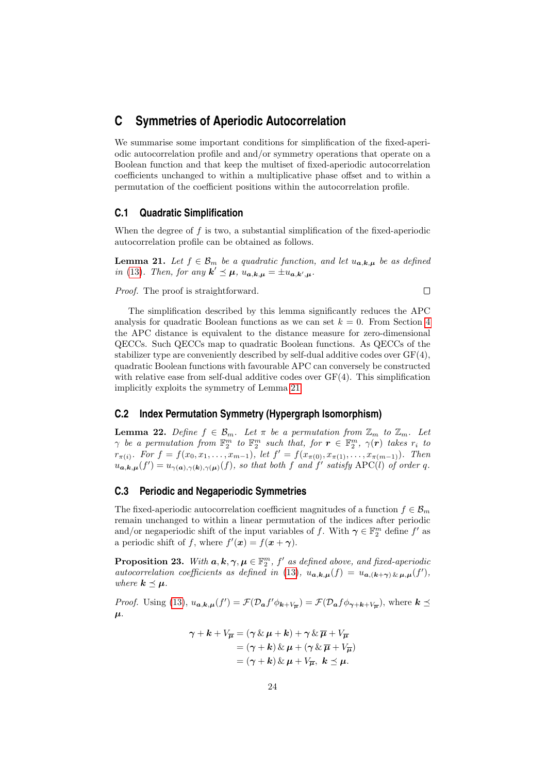### **C Symmetries of Aperiodic Autocorrelation**

We summarise some important conditions for simplification of the fixed-aperiodic autocorrelation profile and and/or symmetry operations that operate on a Boolean function and that keep the multiset of fixed-aperiodic autocorrelation coefficients unchanged to within a multiplicative phase offset and to within a permutation of the coefficient positions within the autocorrelation profile.

#### **C.1 Quadratic Simplification**

When the degree of  $f$  is two, a substantial simplification of the fixed-aperiodic autocorrelation profile can be obtained as follows.

<span id="page-23-0"></span>**Lemma 21.** Let  $f \in \mathcal{B}_m$  be a quadratic function, and let  $u_{a,k,\mu}$  be as defined in [\(13\)](#page-3-1). Then, for any  $\mathbf{k}' \preceq \mathbf{\mu}$ ,  $u_{\mathbf{a},\mathbf{k},\mathbf{\mu}} = \pm u_{\mathbf{a},\mathbf{k}',\mathbf{\mu}}$ .

 $\Box$ 

Proof. The proof is straightforward.

The simplification described by this lemma significantly reduces the APC analysis for quadratic Boolean functions as we can set 
$$
k = 0
$$
. From Section 4 the APC distance is equivalent to the distance measure for zero-dimensional QECCs. Such QECCs map to quadratic Boolean functions. As QECCs of the stabilizer type are conveniently described by self-dual additive codes over  $GF(4)$ , quadratic Boolean functions with favourable APC can conversely be constructed with relative ease from self-dual additive codes over  $GF(4)$ . This simplification implicitly exploits the symmetry of Lemma 21.

#### **C.2 Index Permutation Symmetry (Hypergraph Isomorphism)**

<span id="page-23-1"></span>**Lemma 22.** Define  $f \in \mathcal{B}_m$ . Let  $\pi$  be a permutation from  $\mathbb{Z}_m$  to  $\mathbb{Z}_m$ . Let  $\gamma$  be a permutation from  $\mathbb{F}_2^m$  to  $\mathbb{F}_2^m$  such that, for  $\mathbf{r} \in \mathbb{F}_2^m$ ,  $\gamma(\mathbf{r})$  takes  $r_i$  to  $r_{\pi(i)}$ . For  $f = f(x_0, x_1, \ldots, x_{m-1})$ , let  $f' = f(x_{\pi(0)}, x_{\pi(1)}, \ldots, x_{\pi(m-1)})$ . Then  $u_{\boldsymbol{a},\boldsymbol{k},\boldsymbol{\mu}}(f') = u_{\gamma(\boldsymbol{a}),\gamma(\boldsymbol{k}),\gamma(\boldsymbol{\mu})}(f)$ , so that both f and f' satisfy APC(l) of order q.

### **C.3 Periodic and Negaperiodic Symmetries**

The fixed-aperiodic autocorrelation coefficient magnitudes of a function  $f \in \mathcal{B}_m$ remain unchanged to within a linear permutation of the indices after periodic and/or negaperiodic shift of the input variables of f. With  $\gamma \in \mathbb{F}_2^m$  define f' as a periodic shift of f, where  $f'(\mathbf{x}) = f(\mathbf{x} + \boldsymbol{\gamma})$ .

<span id="page-23-2"></span>**Proposition 23.** With  $a, k, \gamma, \mu \in \mathbb{F}_2^m$ , f' as defined above, and fixed-aperiodic autocorrelation coefficients as defined in [\(13\)](#page-3-1),  $u_{a,k,\mu}(f) = u_{a,(k+\gamma)\&\mu,\mu}(f'),$ where  $\mathbf{k} \preceq \boldsymbol{\mu}$ .

*Proof.* Using [\(13\)](#page-3-1),  $u_{a,k,\mu}(f') = \mathcal{F}(\mathcal{D}_a f' \phi_{k+V_{\overline{\mu}}}) = \mathcal{F}(\mathcal{D}_a f \phi_{\gamma+k+V_{\overline{\mu}}})$ , where  $k \preceq$  $\mu$ .

$$
\gamma + k + V_{\overline{\mu}} = (\gamma \& \mu + k) + \gamma \& \overline{\mu} + V_{\overline{\mu}}
$$
  
= (\gamma + k) \& \mu + (\gamma \& \overline{\mu} + V\_{\overline{\mu}})\n  
= (\gamma + k) \& \mu + V\_{\overline{\mu}}, \ k \preceq \mu.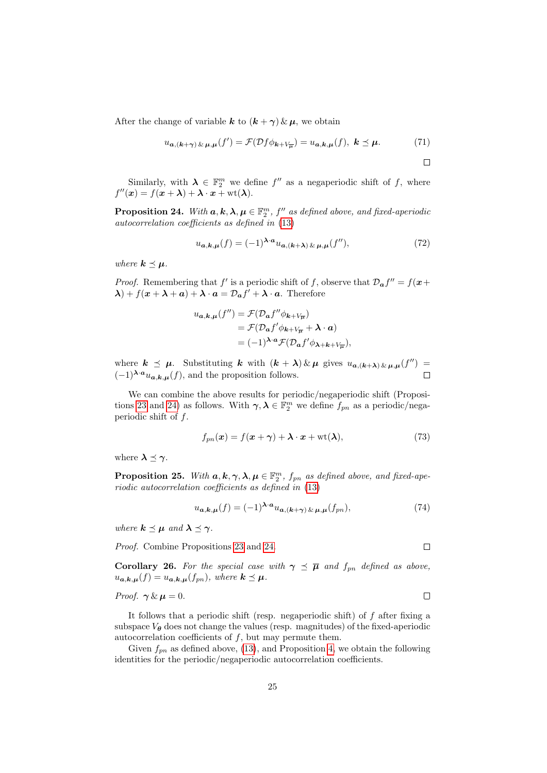After the change of variable k to  $(k + \gamma) \& \mu$ , we obtain

$$
u_{\mathbf{a},(\mathbf{k}+\boldsymbol{\gamma})\,\&\,\mu,\mu}(f') = \mathcal{F}(\mathcal{D}f\phi_{\mathbf{k}+V_{\overline{\mu}}}) = u_{\mathbf{a},\mathbf{k},\mu}(f), \ \mathbf{k} \preceq \mu. \tag{71}
$$

Similarly, with  $\lambda \in \mathbb{F}_2^m$  we define  $f''$  as a negaperiodic shift of f, where  $f''(\boldsymbol{x}) = f(\boldsymbol{x} + \boldsymbol{\lambda}) + \boldsymbol{\lambda} \cdot \boldsymbol{x} + \text{wt}(\boldsymbol{\lambda}).$ 

<span id="page-24-0"></span>**Proposition 24.** With  $a, k, \lambda, \mu \in \mathbb{F}_2^m$ ,  $f''$  as defined above, and fixed-aperiodic autocorrelation coefficients as defined in [\(13\)](#page-3-1)

$$
u_{\boldsymbol{a},\boldsymbol{k},\boldsymbol{\mu}}(f) = (-1)^{\lambda \cdot \boldsymbol{a}} u_{\boldsymbol{a},(\boldsymbol{k}+\boldsymbol{\lambda}) \& \mu,\boldsymbol{\mu}}(f''),\tag{72}
$$

where  $k \preceq \mu$ .

*Proof.* Remembering that  $f'$  is a periodic shift of f, observe that  $\mathcal{D}_{a}f'' = f(x +$  $\lambda$ ) +  $f(x + \lambda + a) + \lambda \cdot a = \mathcal{D}_a f' + \lambda \cdot a$ . Therefore

$$
u_{a,k,\mu}(f'') = \mathcal{F}(\mathcal{D}_a f'' \phi_{k+V_{\overline{\mu}}})
$$
  
=  $\mathcal{F}(\mathcal{D}_a f' \phi_{k+V_{\overline{\mu}}} + \lambda \cdot a)$   
=  $(-1)^{\lambda \cdot a} \mathcal{F}(\mathcal{D}_a f' \phi_{\lambda+k+V_{\overline{\mu}}}),$ 

where  $k \preceq \mu$ . Substituting k with  $(k + \lambda) \& \mu$  gives  $u_{a,(k+\lambda)\& \mu,\mu}(f'') =$  $(-1)^{\lambda \cdot a} u_{a,k,\mu}(f)$ , and the proposition follows.  $\Box$ 

We can combine the above results for periodic/negaperiodic shift (Proposi-tions [23](#page-23-2) and [24\)](#page-24-0) as follows. With  $\gamma, \lambda \in \mathbb{F}_2^m$  we define  $f_{pn}$  as a periodic/negaperiodic shift of  $f$ .

$$
f_{pn}(\mathbf{x}) = f(\mathbf{x} + \gamma) + \boldsymbol{\lambda} \cdot \mathbf{x} + \text{wt}(\boldsymbol{\lambda}),
$$
\n(73)

where  $\lambda \preceq \gamma$ .

**Proposition 25.** With  $a, k, \gamma, \lambda, \mu \in \mathbb{F}_2^m$ ,  $f_{pn}$  as defined above, and fixed-aperiodic autocorrelation coefficients as defined in [\(13\)](#page-3-1)

$$
u_{\mathbf{a},\mathbf{k},\mathbf{\mu}}(f) = (-1)^{\lambda \cdot \mathbf{a}} u_{\mathbf{a},(\mathbf{k}+\boldsymbol{\gamma}) \& \mathbf{\mu},\mathbf{\mu}}(f_{pn}),
$$
\n(74)

where  $\mathbf{k} \preceq \boldsymbol{\mu}$  and  $\boldsymbol{\lambda} \preceq \boldsymbol{\gamma}$ .

Proof. Combine Propositions [23](#page-23-2) and [24.](#page-24-0)

**Corollary 26.** For the special case with  $\gamma \preceq \overline{\mu}$  and  $f_{pn}$  defined as above,  $u_{\boldsymbol{a},\boldsymbol{k},\boldsymbol{\mu}}(f) = u_{\boldsymbol{a},\boldsymbol{k},\boldsymbol{\mu}}(f_{pn}),$  where  $\boldsymbol{k} \preceq \boldsymbol{\mu}.$ 

*Proof.* 
$$
\gamma
$$
 &  $\mu = 0$ .

It follows that a periodic shift (resp. negaperiodic shift) of  $f$  after fixing a subspace  $V_{\theta}$  does not change the values (resp. magnitudes) of the fixed-aperiodic autocorrelation coefficients of  $f$ , but may permute them.

Given  $f_{pn}$  as defined above, [\(13\)](#page-3-1), and Proposition [4,](#page-4-0) we obtain the following identities for the periodic/negaperiodic autocorrelation coefficients.

 $\Box$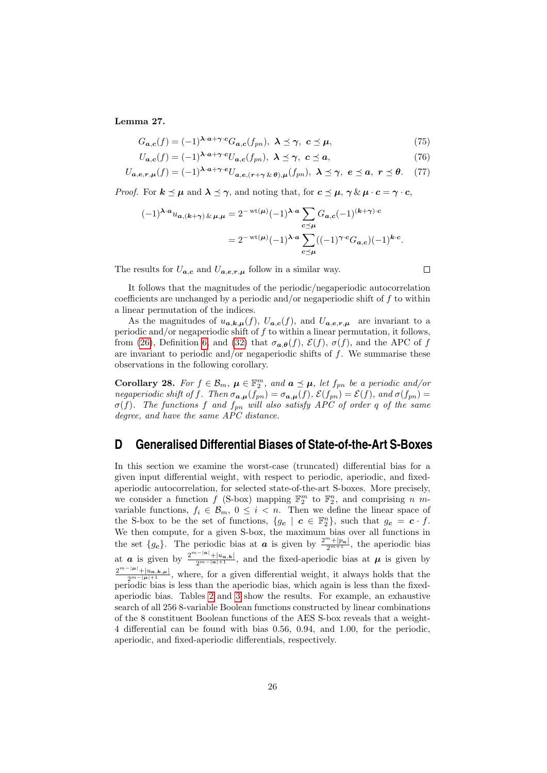Lemma 27.

$$
G_{\mathbf{a},\mathbf{c}}(f) = (-1)^{\lambda \cdot \mathbf{a} + \gamma \cdot \mathbf{c}} G_{\mathbf{a},\mathbf{c}}(f_{pn}), \ \lambda \preceq \gamma, \ \mathbf{c} \preceq \mu,\tag{75}
$$

$$
U_{\mathbf{a},\mathbf{c}}(f) = (-1)^{\lambda \cdot \mathbf{a} + \gamma \cdot \mathbf{c}} U_{\mathbf{a},\mathbf{c}}(f_{pn}), \ \lambda \leq \gamma, \ \mathbf{c} \leq \mathbf{a}, \tag{76}
$$

$$
U_{\mathbf{a},\mathbf{e},\mathbf{r},\mu}(f) = (-1)^{\lambda \cdot \mathbf{a} + \gamma \cdot \mathbf{e}} U_{\mathbf{a},\mathbf{e},(\mathbf{r} + \gamma \cdot \mathbf{e},\mathbf{e}),\mu}(f_{pn}), \ \lambda \preceq \gamma, \ \mathbf{e} \preceq \mathbf{a}, \ \mathbf{r} \preceq \mathbf{\theta}.\tag{77}
$$

*Proof.* For  $k \preceq \mu$  and  $\lambda \preceq \gamma$ , and noting that, for  $c \preceq \mu$ ,  $\gamma \& \mu \cdot c = \gamma \cdot c$ ,

$$
\begin{aligned} (-1)^{\lambda \cdot a} u_{a,(k+\gamma) \cdot \kappa} \mu, & \mu = 2^{-\operatorname{wt}(\mu)} (-1)^{\lambda \cdot a} \sum_{c \preceq \mu} G_{a,c}(-1)^{(k+\gamma) \cdot c} \\ & = 2^{-\operatorname{wt}(\mu)} (-1)^{\lambda \cdot a} \sum_{c \preceq \mu} ((-1)^{\gamma \cdot c} G_{a,c})(-1)^{k \cdot c}. \end{aligned}
$$

The results for  $U_{a,c}$  and  $U_{a,e,r,\mu}$  follow in a similar way.

It follows that the magnitudes of the periodic/negaperiodic autocorrelation coefficients are unchanged by a periodic and/or negaperiodic shift of  $f$  to within a linear permutation of the indices.

As the magnitudes of  $u_{a,k,\mu}(f)$ ,  $U_{a,c}(f)$ , and  $U_{a,e,r,\mu}$  are invariant to a periodic and/or negaperiodic shift of  $f$  to within a linear permutation, it follows, from [\(26\)](#page-5-2), Definition [6,](#page-6-4) and [\(32\)](#page-7-4) that  $\sigma_{a,\theta}(f)$ ,  $\mathcal{E}(f)$ ,  $\sigma(f)$ , and the APC of f are invariant to periodic and/or negaperiodic shifts of  $f$ . We summarise these observations in the following corollary.

**Corollary 28.** For  $f \in \mathcal{B}_m$ ,  $\mu \in \mathbb{F}_2^m$ , and  $\mathbf{a} \preceq \mu$ , let  $f_{pn}$  be a periodic and/or negaperiodic shift of f. Then  $\sigma_{a,\mu}(f_{pn}) = \sigma_{a,\mu}(f)$ ,  $\mathcal{E}(f_{pn}) = \mathcal{E}(f)$ , and  $\sigma(f_{pn}) =$  $\sigma(f)$ . The functions f and  $f_{pn}$  will also satisfy APC of order q of the same degree, and have the same APC distance.

### **D Generalised Differential Biases of State-of-the-Art S-Boxes**

In this section we examine the worst-case (truncated) differential bias for a given input differential weight, with respect to periodic, aperiodic, and fixedaperiodic autocorrelation, for selected state-of-the-art S-boxes. More precisely, we consider a function f (S-box) mapping  $\mathbb{F}_2^m$  to  $\mathbb{F}_2^n$ , and comprising n mvariable functions,  $f_i \in \mathcal{B}_m$ ,  $0 \leq i \leq n$ . Then we define the linear space of the S-box to be the set of functions,  $\{g_c \mid c \in \mathbb{F}_2^n\}$ , such that  $g_c = c \cdot f$ . We then compute, for a given S-box, the maximum bias over all functions in the set  ${g_c}$ . The periodic bias at **a** is given by  $\frac{2^m + |p_a|}{2^{m+1}}$ , the aperiodic bias at **a** is given by  $\frac{2^{m-|a|}+|u_{a,k}|}{2^{m-|a|+1}}$ , and the fixed-aperiodic bias at  $\mu$  is given by  $\frac{2^{m-|\mu|}+|u_{\alpha,k,\mu}|}{2^{m-|\mu|+1}}$ , where, for a given differential weight, it always holds that the periodic bias is less than the aperiodic bias, which again is less than the fixedaperiodic bias. Tables [2](#page-26-0) and [3](#page-27-0) show the results. For example, an exhaustive search of all 256 8-variable Boolean functions constructed by linear combinations of the 8 constituent Boolean functions of the AES S-box reveals that a weight-4 differential can be found with bias 0.56, 0.94, and 1.00, for the periodic, aperiodic, and fixed-aperiodic differentials, respectively.

 $\Box$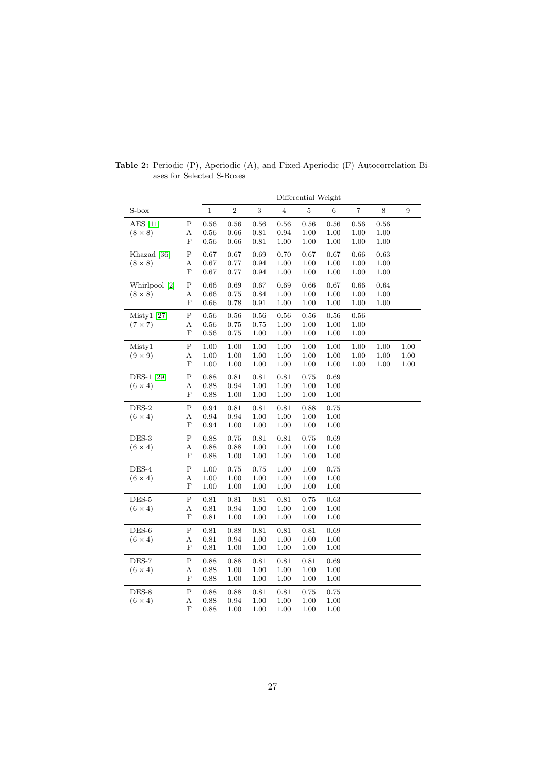|                        |                         |              |                |            |                | Differential Weight |          |                |      |                |
|------------------------|-------------------------|--------------|----------------|------------|----------------|---------------------|----------|----------------|------|----------------|
| S-box                  |                         | $\mathbf{1}$ | $\overline{2}$ | 3          | $\overline{4}$ | 5                   | 6        | $\overline{7}$ | 8    | $\overline{9}$ |
| <b>AES</b> [11]        | Ρ                       | $\rm 0.56$   | 0.56           | 0.56       | 0.56           | 0.56                | 0.56     | 0.56           | 0.56 |                |
| $(8 \times 8)$         | Α                       | 0.56         | 0.66           | 0.81       | 0.94           | 1.00                | 1.00     | 1.00           | 1.00 |                |
|                        | F                       | 0.56         | 0.66           | 0.81       | 1.00           | 1.00                | 1.00     | 1.00           | 1.00 |                |
| Khazad <sup>[36]</sup> | $\mathbf P$             | 0.67         | 0.67           | 0.69       | 0.70           | 0.67                | 0.67     | 0.66           | 0.63 |                |
| $(8 \times 8)$         | А                       | 0.67         | 0.77           | 0.94       | 1.00           | 1.00                | 1.00     | 1.00           | 1.00 |                |
|                        | $\mathbf F$             | 0.67         | 0.77           | 0.94       | 1.00           | 1.00                | 1.00     | 1.00           | 1.00 |                |
| Whirlpool [2]          | $\rm P$                 | 0.66         | 0.69           | 0.67       | 0.69           | 0.66                | 0.67     | 0.66           | 0.64 |                |
| $(8 \times 8)$         | А                       | 0.66         | 0.75           | 0.84       | 1.00           | 1.00                | 1.00     | 1.00           | 1.00 |                |
|                        | F                       | 0.66         | 0.78           | $\rm 0.91$ | $1.00\,$       | 1.00                | $1.00\,$ | $1.00\,$       | 1.00 |                |
| Misty1 [27]            | $\mathbf P$             | 0.56         | $0.56\,$       | $\,0.56$   | 0.56           | 0.56                | 0.56     | 0.56           |      |                |
| $(7 \times 7)$         | А                       | 0.56         | 0.75           | 0.75       | 1.00           | 1.00                | 1.00     | 1.00           |      |                |
|                        | $\mathbf F$             | 0.56         | 0.75           | 1.00       | 1.00           | 1.00                | 1.00     | 1.00           |      |                |
| Misty1                 | $\rm P$                 | 1.00         | 1.00           | 1.00       | 1.00           | 1.00                | 1.00     | 1.00           | 1.00 | 1.00           |
| $(9 \times 9)$         | А                       | 1.00         | 1.00           | 1.00       | 1.00           | 1.00                | 1.00     | 1.00           | 1.00 | 1.00           |
|                        | F                       | 1.00         | 1.00           | 1.00       | 1.00           | 1.00                | 1.00     | 1.00           | 1.00 | 1.00           |
| DES-1 [29]             | $\overline{\mathrm{P}}$ | 0.88         | $\rm 0.81$     | 0.81       | 0.81           | 0.75                | 0.69     |                |      |                |
| $(6 \times 4)$         | Α                       | 0.88         | 0.94           | 1.00       | 1.00           | 1.00                | 1.00     |                |      |                |
|                        | ${\rm F}$               | 0.88         | 1.00           | 1.00       | $1.00\,$       | 1.00                | $1.00\,$ |                |      |                |
| $DES-2$                | $\rm P$                 | 0.94         | $\rm 0.81$     | $\rm 0.81$ | 0.81           | 0.88                | 0.75     |                |      |                |
| $(6 \times 4)$         | А                       | 0.94         | 0.94           | 1.00       | 1.00           | 1.00                | 1.00     |                |      |                |
|                        | F                       | 0.94         | 1.00           | 1.00       | 1.00           | 1.00                | 1.00     |                |      |                |
| DES-3                  | $\mathbf P$             | 0.88         | 0.75           | 0.81       | 0.81           | 0.75                | 0.69     |                |      |                |
| $(6 \times 4)$         | А                       | 0.88         | 0.88           | 1.00       | 1.00           | 1.00                | 1.00     |                |      |                |
|                        | F                       | 0.88         | 1.00           | 1.00       | 1.00           | 1.00                | 1.00     |                |      |                |
| $DES-4$                | $\overline{\mathrm{P}}$ | 1.00         | 0.75           | 0.75       | 1.00           | 1.00                | 0.75     |                |      |                |
| $(6 \times 4)$         | Α                       | 1.00         | 1.00           | 1.00       | 1.00           | 1.00                | 1.00     |                |      |                |
|                        | ${\rm F}$               | $1.00\,$     | 1.00           | 1.00       | 1.00           | 1.00                | 1.00     |                |      |                |
| $DES-5$                | $\rm P$                 | 0.81         | $\rm 0.81$     | $\rm 0.81$ | 0.81           | 0.75                | 0.63     |                |      |                |
| $(6 \times 4)$         | А                       | 0.81         | 0.94           | 1.00       | 1.00           | 1.00                | 1.00     |                |      |                |
|                        | $\mathbf F$             | 0.81         | 1.00           | 1.00       | 1.00           | 1.00                | 1.00     |                |      |                |
| $DES-6$                | $\rm P$                 | 0.81         | 0.88           | 0.81       | 0.81           | 0.81                | 0.69     |                |      |                |
| $(6 \times 4)$         | $\boldsymbol{A}$        | 0.81         | 0.94           | 1.00       | 1.00           | 1.00                | 1.00     |                |      |                |
|                        | ${\rm F}$               | 0.81         | 1.00           | 1.00       | 1.00           | 1.00                | $1.00\,$ |                |      |                |
| DES-7                  | $\rm P$                 | 0.88         | 0.88           | 0.81       | 0.81           | 0.81                | 0.69     |                |      |                |
| $(6 \times 4)$         | Α                       | 0.88         | 1.00           | 1.00       | 1.00           | 1.00                | 1.00     |                |      |                |
|                        | F                       | 0.88         | 1.00           | 1.00       | 1.00           | $1.00\,$            | 1.00     |                |      |                |
| $DES-8$                | $\mathbf P$             | 0.88         | 0.88           | 0.81       | 0.81           | 0.75                | 0.75     |                |      |                |
| $(6 \times 4)$         | A                       | 0.88         | 0.94           | 1.00       | 1.00           | 1.00                | 1.00     |                |      |                |
|                        | F                       | 0.88         | 1.00           | 1.00       | 1.00           | 1.00                | 1.00     |                |      |                |

<span id="page-26-0"></span>Table 2: Periodic (P), Aperiodic (A), and Fixed-Aperiodic (F) Autocorrelation Biases for Selected S-Boxes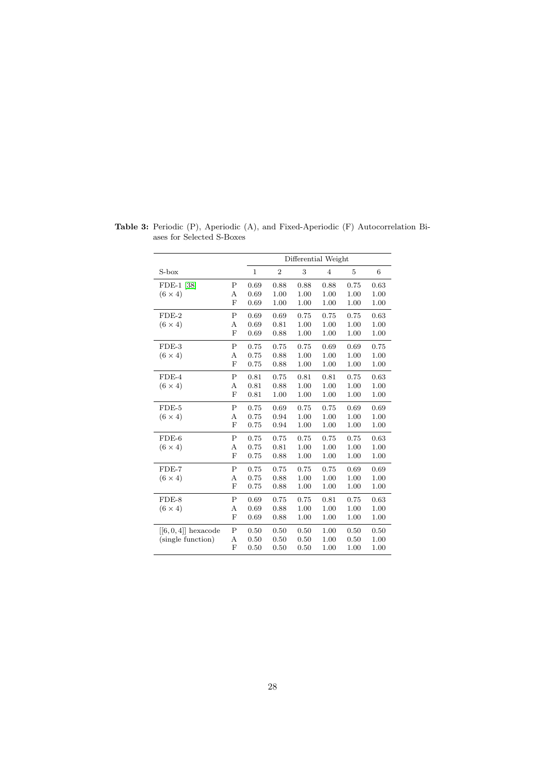<span id="page-27-0"></span>

|                        |             | Differential Weight |                |      |                |      |                 |  |  |
|------------------------|-------------|---------------------|----------------|------|----------------|------|-----------------|--|--|
| S-box                  |             | $\mathbf 1$         | $\overline{2}$ | 3    | $\overline{4}$ | 5    | $6\phantom{.}6$ |  |  |
| FDE-1 [38]             | Ρ           | 0.69                | 0.88           | 0.88 | 0.88           | 0.75 | 0.63            |  |  |
| $(6 \times 4)$         | А           | 0.69                | 1.00           | 1.00 | 1.00           | 1.00 | 1.00            |  |  |
|                        | $\mathbf F$ | 0.69                | 1.00           | 1.00 | 1.00           | 1.00 | 1.00            |  |  |
| $FDE-2$                | $\mathbf P$ | 0.69                | 0.69           | 0.75 | 0.75           | 0.75 | 0.63            |  |  |
| $(6 \times 4)$         | А           | 0.69                | 0.81           | 1.00 | 1.00           | 1.00 | 1.00            |  |  |
|                        | F           | 0.69                | 0.88           | 1.00 | 1.00           | 1.00 | 1.00            |  |  |
| $FDE-3$                | $\mathbf P$ | 0.75                | 0.75           | 0.75 | 0.69           | 0.69 | 0.75            |  |  |
| $(6 \times 4)$         | А           | 0.75                | 0.88           | 1.00 | 1.00           | 1.00 | 1.00            |  |  |
|                        | $_{\rm F}$  | 0.75                | 0.88           | 1.00 | 1.00           | 1.00 | 1.00            |  |  |
| $FDE-4$                | P           | 0.81                | 0.75           | 0.81 | 0.81           | 0.75 | 0.63            |  |  |
| $(6 \times 4)$         | А           | 0.81                | 0.88           | 1.00 | 1.00           | 1.00 | 1.00            |  |  |
|                        | $\mathbf F$ | 0.81                | 1.00           | 1.00 | 1.00           | 1.00 | 1.00            |  |  |
| $FDE-5$                | $\mathbf P$ | 0.75                | 0.69           | 0.75 | 0.75           | 0.69 | 0.69            |  |  |
| $(6 \times 4)$         | Α           | 0.75                | 0.94           | 1.00 | 1.00           | 1.00 | 1.00            |  |  |
|                        | $\mathbf F$ | 0.75                | 0.94           | 1.00 | 1.00           | 1.00 | 1.00            |  |  |
| $FDE-6$                | $\mathbf P$ | 0.75                | 0.75           | 0.75 | 0.75           | 0.75 | 0.63            |  |  |
| $(6 \times 4)$         | А           | 0.75                | 0.81           | 1.00 | 1.00           | 1.00 | 1.00            |  |  |
|                        | $\mathbf F$ | 0.75                | 0.88           | 1.00 | 1.00           | 1.00 | 1.00            |  |  |
| FDE-7                  | Ρ           | 0.75                | 0.75           | 0.75 | 0.75           | 0.69 | 0.69            |  |  |
| $(6 \times 4)$         | A           | 0.75                | 0.88           | 1.00 | 1.00           | 1.00 | 1.00            |  |  |
|                        | $\mathbf F$ | 0.75                | 0.88           | 1.00 | 1.00           | 1.00 | 1.00            |  |  |
| $FDE-8$                | $\mathbf P$ | 0.69                | 0.75           | 0.75 | 0.81           | 0.75 | 0.63            |  |  |
| $(6 \times 4)$         | А           | 0.69                | 0.88           | 1.00 | 1.00           | 1.00 | 1.00            |  |  |
|                        | $\mathbf F$ | 0.69                | 0.88           | 1.00 | 1.00           | 1.00 | 1.00            |  |  |
| $[[6, 0, 4]]$ hexacode | $_{\rm P}$  | 0.50                | 0.50           | 0.50 | 1.00           | 0.50 | 0.50            |  |  |
| (single function)      | А           | 0.50                | 0.50           | 0.50 | 1.00           | 0.50 | 1.00            |  |  |
|                        | $\mathbf F$ | 0.50                | 0.50           | 0.50 | 1.00           | 1.00 | 1.00            |  |  |

Table 3: Periodic (P), Aperiodic (A), and Fixed-Aperiodic (F) Autocorrelation Biases for Selected S-Boxes

 $\overline{\phantom{0}}$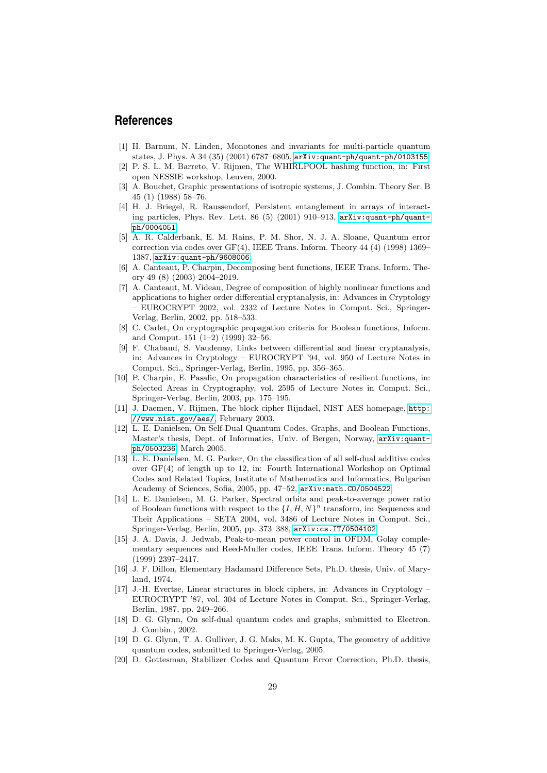### **References**

- <span id="page-28-8"></span>[1] H. Barnum, N. Linden, Monotones and invariants for multi-particle quantum states, J. Phys. A 34 (35) (2001) 6787–6805, [arXiv:quant-ph/quant-ph/0103155](http://arxiv.org/pdf/quant-ph/0103155).
- <span id="page-28-19"></span>[2] P. S. L. M. Barreto, V. Rijmen, The WHIRLPOOL hashing function, in: First open NESSIE workshop, Leuven, 2000.
- <span id="page-28-1"></span>[3] A. Bouchet, Graphic presentations of isotropic systems, J. Combin. Theory Ser. B 45 (1) (1988) 58–76.
- <span id="page-28-6"></span>[4] H. J. Briegel, R. Raussendorf, Persistent entanglement in arrays of interacting particles, Phys. Rev. Lett. 86 (5) (2001) 910–913, [arXiv:quant-ph/quant](http://arxiv.org/pdf/quant-ph/0004051)[ph/0004051](http://arxiv.org/pdf/quant-ph/0004051).
- <span id="page-28-7"></span>[5] A. R. Calderbank, E. M. Rains, P. M. Shor, N. J. A. Sloane, Quantum error correction via codes over  $GF(4)$ , IEEE Trans. Inform. Theory 44 (4) (1998) 1369– 1387, [arXiv:quant-ph/9608006](http://arxiv.org/pdf/quant-ph/9608006).
- <span id="page-28-17"></span>[6] A. Canteaut, P. Charpin, Decomposing bent functions, IEEE Trans. Inform. Theory 49 (8) (2003) 2004–2019.
- <span id="page-28-15"></span>[7] A. Canteaut, M. Videau, Degree of composition of highly nonlinear functions and applications to higher order differential cryptanalysis, in: Advances in Cryptology – EUROCRYPT 2002, vol. 2332 of Lecture Notes in Comput. Sci., Springer-Verlag, Berlin, 2002, pp. 518–533.
- <span id="page-28-0"></span>[8] C. Carlet, On cryptographic propagation criteria for Boolean functions, Inform. and Comput. 151 (1–2) (1999) 32–56.
- <span id="page-28-16"></span>[9] F. Chabaud, S. Vaudenay, Links between differential and linear cryptanalysis, in: Advances in Cryptology – EUROCRYPT '94, vol. 950 of Lecture Notes in Comput. Sci., Springer-Verlag, Berlin, 1995, pp. 356–365.
- <span id="page-28-9"></span>[10] P. Charpin, E. Pasalic, On propagation characteristics of resilient functions, in: Selected Areas in Cryptography, vol. 2595 of Lecture Notes in Comput. Sci., Springer-Verlag, Berlin, 2003, pp. 175–195.
- <span id="page-28-18"></span>[11] J. Daemen, V. Rijmen, The block cipher Rijndael, NIST AES homepage, [http:](http://www.nist.gov/aes/) [//www.nist.gov/aes/](http://www.nist.gov/aes/), February 2003.
- <span id="page-28-12"></span>[12] L. E. Danielsen, On Self-Dual Quantum Codes, Graphs, and Boolean Functions, Master's thesis, Dept. of Informatics, Univ. of Bergen, Norway, [arXiv:quant](http://arxiv.org/pdf/quant-ph/0503236)[ph/0503236](http://arxiv.org/pdf/quant-ph/0503236), March 2005.
- <span id="page-28-14"></span>[13] L. E. Danielsen, M. G. Parker, On the classification of all self-dual additive codes over GF(4) of length up to 12, in: Fourth International Workshop on Optimal Codes and Related Topics, Institute of Mathematics and Informatics, Bulgarian Academy of Sciences, Sofia, 2005, pp. 47–52, [arXiv:math.CO/0504522](http://arxiv.org/pdf/math.CO/0504522).
- <span id="page-28-13"></span>[14] L. E. Danielsen, M. G. Parker, Spectral orbits and peak-to-average power ratio of Boolean functions with respect to the  $\{I, H, N\}^n$  transform, in: Sequences and Their Applications – SETA 2004, vol. 3486 of Lecture Notes in Comput. Sci., Springer-Verlag, Berlin, 2005, pp. 373–388, [arXiv:cs.IT/0504102](http://arxiv.org/pdf/cs.IT/0504102).
- <span id="page-28-4"></span>[15] J. A. Davis, J. Jedwab, Peak-to-mean power control in OFDM, Golay complementary sequences and Reed-Muller codes, IEEE Trans. Inform. Theory 45 (7) (1999) 2397–2417.
- <span id="page-28-11"></span>[16] J. F. Dillon, Elementary Hadamard Difference Sets, Ph.D. thesis, Univ. of Maryland, 1974.
- <span id="page-28-10"></span>[17] J.-H. Evertse, Linear structures in block ciphers, in: Advances in Cryptology – EUROCRYPT '87, vol. 304 of Lecture Notes in Comput. Sci., Springer-Verlag, Berlin, 1987, pp. 249–266.
- <span id="page-28-2"></span>[18] D. G. Glynn, On self-dual quantum codes and graphs, submitted to Electron. J. Combin., 2002.
- <span id="page-28-3"></span>[19] D. G. Glynn, T. A. Gulliver, J. G. Maks, M. K. Gupta, The geometry of additive quantum codes, submitted to Springer-Verlag, 2005.
- <span id="page-28-5"></span>[20] D. Gottesman, Stabilizer Codes and Quantum Error Correction, Ph.D. thesis,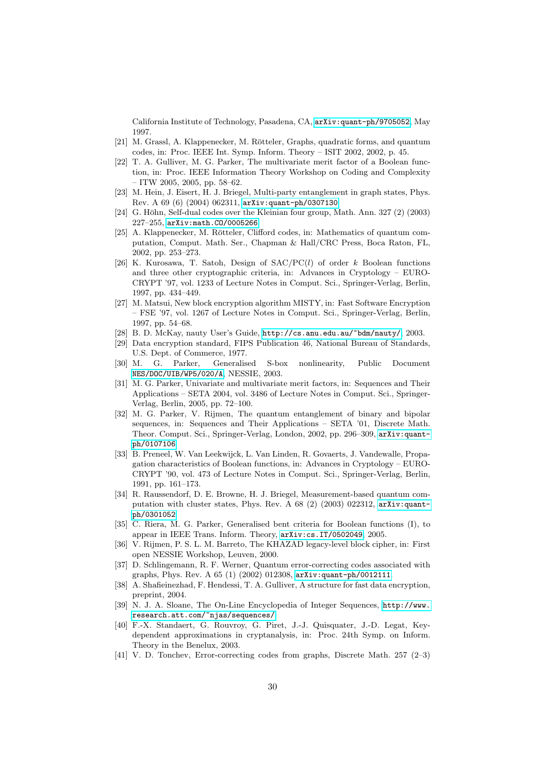California Institute of Technology, Pasadena, CA, [arXiv:quant-ph/9705052](http://arxiv.org/pdf/quant-ph/9705052), May 1997.

- <span id="page-29-6"></span>[21] M. Grassl, A. Klappenecker, M. Rötteler, Graphs, quadratic forms, and quantum codes, in: Proc. IEEE Int. Symp. Inform. Theory – ISIT 2002, 2002, p. 45.
- <span id="page-29-4"></span>[22] T. A. Gulliver, M. G. Parker, The multivariate merit factor of a Boolean function, in: Proc. IEEE Information Theory Workshop on Coding and Complexity  $-$  ITW 2005, 2005, pp. 58–62.
- <span id="page-29-2"></span>[23] M. Hein, J. Eisert, H. J. Briegel, Multi-party entanglement in graph states, Phys. Rev. A 69 (6) (2004) 062311, [arXiv:quant-ph/0307130](http://arxiv.org/pdf/quant-ph/0307130).
- <span id="page-29-11"></span>[24] G. Höhn, Self-dual codes over the Kleinian four group, Math. Ann. 327  $(2)$  (2003) 227–255, [arXiv:math.CO/0005266](http://arxiv.org/pdf/math.CO/0005266).
- <span id="page-29-15"></span>[25] A. Klappenecker, M. Rötteler, Clifford codes, in: Mathematics of quantum computation, Comput. Math. Ser., Chapman & Hall/CRC Press, Boca Raton, FL, 2002, pp. 253–273.
- <span id="page-29-1"></span>[26] K. Kurosawa, T. Satoh, Design of  $SAC/PC(l)$  of order k Boolean functions and three other cryptographic criteria, in: Advances in Cryptology – EURO-CRYPT '97, vol. 1233 of Lecture Notes in Comput. Sci., Springer-Verlag, Berlin, 1997, pp. 434–449.
- <span id="page-29-18"></span>[27] M. Matsui, New block encryption algorithm MISTY, in: Fast Software Encryption – FSE '97, vol. 1267 of Lecture Notes in Comput. Sci., Springer-Verlag, Berlin, 1997, pp. 54–68.
- <span id="page-29-13"></span>[28] B. D. McKay, nauty User's Guide, <http://cs.anu.edu.au/~bdm/nauty/>, 2003.
- <span id="page-29-19"></span>[29] Data encryption standard, FIPS Publication 46, National Bureau of Standards, U.S. Dept. of Commerce, 1977.
- <span id="page-29-14"></span>[30] M. G. Parker, Generalised S-box nonlinearity, Public Document [NES/DOC/UIB/WP5/020/A](https://www.cosic.esat.kuleuven.ac.be/nessie/reports/phase2/SBoxLin.pdf), NESSIE, 2003.
- <span id="page-29-5"></span>[31] M. G. Parker, Univariate and multivariate merit factors, in: Sequences and Their Applications – SETA 2004, vol. 3486 of Lecture Notes in Comput. Sci., Springer-Verlag, Berlin, 2005, pp. 72–100.
- <span id="page-29-3"></span>[32] M. G. Parker, V. Rijmen, The quantum entanglement of binary and bipolar sequences, in: Sequences and Their Applications – SETA '01, Discrete Math. Theor. Comput. Sci., Springer-Verlag, London, 2002, pp. 296–309, [arXiv:quant](http://arxiv.org/pdf/quant-ph/0107106)[ph/0107106](http://arxiv.org/pdf/quant-ph/0107106).
- <span id="page-29-0"></span>[33] B. Preneel, W. Van Leekwijck, L. Van Linden, R. Govaerts, J. Vandewalle, Propagation characteristics of Boolean functions, in: Advances in Cryptology – EURO-CRYPT '90, vol. 473 of Lecture Notes in Comput. Sci., Springer-Verlag, Berlin, 1991, pp. 161–173.
- <span id="page-29-10"></span>[34] R. Raussendorf, D. E. Browne, H. J. Briegel, Measurement-based quantum computation with cluster states, Phys. Rev. A 68 (2) (2003) 022312, [arXiv:quant](http://arxiv.org/pdf/quant-ph/0301052)[ph/0301052](http://arxiv.org/pdf/quant-ph/0301052).
- <span id="page-29-7"></span>[35] C. Riera, M. G. Parker, Generalised bent criteria for Boolean functions (I), to appear in IEEE Trans. Inform. Theory, [arXiv:cs.IT/0502049](http://arxiv.org/pdf/cs.IT/0502049), 2005.
- <span id="page-29-17"></span>[36] V. Rijmen, P. S. L. M. Barreto, The KHAZAD legacy-level block cipher, in: First open NESSIE Workshop, Leuven, 2000.
- <span id="page-29-8"></span>[37] D. Schlingemann, R. F. Werner, Quantum error-correcting codes associated with graphs, Phys. Rev. A 65 (1) (2002) 012308, [arXiv:quant-ph/0012111](http://arxiv.org/pdf/quant-ph/0012111).
- <span id="page-29-20"></span>[38] A. Shafieinezhad, F. Hendessi, T. A. Gulliver, A structure for fast data encryption, preprint, 2004.
- <span id="page-29-12"></span>[39] N. J. A. Sloane, The On-Line Encyclopedia of Integer Sequences, [http://www.](http://www.research.att.com/~njas/sequences/) [research.att.com/~njas/sequences/](http://www.research.att.com/~njas/sequences/).
- <span id="page-29-16"></span>[40] F.-X. Standaert, G. Rouvroy, G. Piret, J.-J. Quisquater, J.-D. Legat, Keydependent approximations in cryptanalysis, in: Proc. 24th Symp. on Inform. Theory in the Benelux, 2003.
- <span id="page-29-9"></span>[41] V. D. Tonchev, Error-correcting codes from graphs, Discrete Math. 257 (2-3)